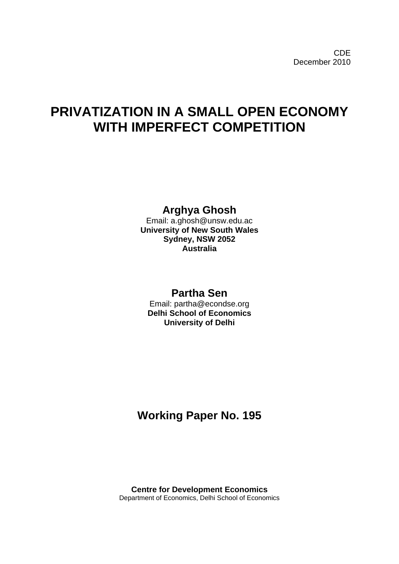# **PRIVATIZATION IN A SMALL OPEN ECONOMY WITH IMPERFECT COMPETITION**

# **Arghya Ghosh**

Email: a.ghosh@unsw.edu.ac **University of New South Wales Sydney, NSW 2052 Australia**

# **Partha Sen**

Email: partha@econdse.org **Delhi School of Economics University of Delhi** 

# **Working Paper No. 195**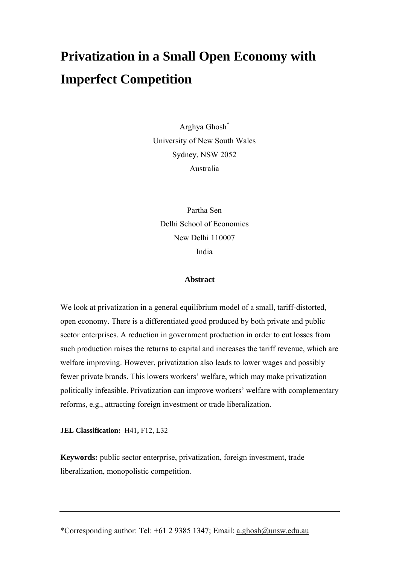# **Privatization in a Small Open Economy with Imperfect Competition**

Arghya Ghosh\* University of New South Wales Sydney, NSW 2052 Australia

Partha Sen Delhi School of Economics New Delhi 110007 India

#### **Abstract**

We look at privatization in a general equilibrium model of a small, tariff-distorted, open economy. There is a differentiated good produced by both private and public sector enterprises. A reduction in government production in order to cut losses from such production raises the returns to capital and increases the tariff revenue, which are welfare improving. However, privatization also leads to lower wages and possibly fewer private brands. This lowers workers' welfare, which may make privatization politically infeasible. Privatization can improve workers' welfare with complementary reforms, e.g., attracting foreign investment or trade liberalization.

**JEL Classification:** H41**,** F12, L32

**Keywords:** public sector enterprise, privatization, foreign investment, trade liberalization, monopolistic competition.

\*Corresponding author: Tel: +61 2 9385 1347; Email: a.ghosh@unsw.edu.au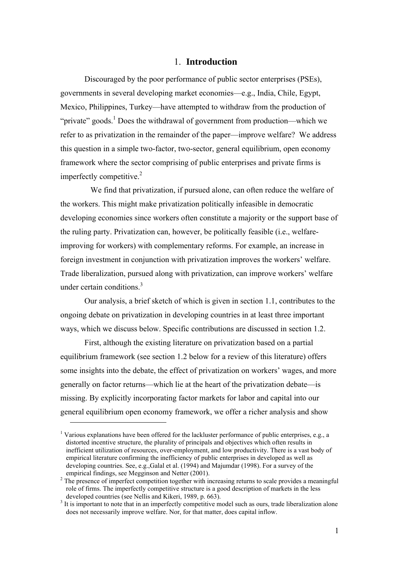#### 1. **Introduction**

Discouraged by the poor performance of public sector enterprises (PSEs), governments in several developing market economies—e.g., India, Chile, Egypt, Mexico, Philippines, Turkey—have attempted to withdraw from the production of "private" goods.<sup>1</sup> Does the withdrawal of government from production—which we refer to as privatization in the remainder of the paper—improve welfare? We address this question in a simple two-factor, two-sector, general equilibrium, open economy framework where the sector comprising of public enterprises and private firms is imperfectly competitive. $2$ 

 We find that privatization, if pursued alone, can often reduce the welfare of the workers. This might make privatization politically infeasible in democratic developing economies since workers often constitute a majority or the support base of the ruling party. Privatization can, however, be politically feasible (i.e., welfareimproving for workers) with complementary reforms. For example, an increase in foreign investment in conjunction with privatization improves the workers' welfare. Trade liberalization, pursued along with privatization, can improve workers' welfare under certain conditions.<sup>3</sup>

Our analysis, a brief sketch of which is given in section 1.1, contributes to the ongoing debate on privatization in developing countries in at least three important ways, which we discuss below. Specific contributions are discussed in section 1.2.

First, although the existing literature on privatization based on a partial equilibrium framework (see section 1.2 below for a review of this literature) offers some insights into the debate, the effect of privatization on workers' wages, and more generally on factor returns—which lie at the heart of the privatization debate—is missing. By explicitly incorporating factor markets for labor and capital into our general equilibrium open economy framework, we offer a richer analysis and show

 $\overline{a}$ 

<sup>&</sup>lt;sup>1</sup> Various explanations have been offered for the lackluster performance of public enterprises, e.g., a distorted incentive structure, the plurality of principals and objectives which often results in inefficient utilization of resources, over-employment, and low productivity. There is a vast body of empirical literature confirming the inefficiency of public enterprises in developed as well as developing countries. See, e.g.,Galal et al. (1994) and Majumdar (1998). For a survey of the empirical findings, see Megginson and Netter (2001).

<sup>&</sup>lt;sup>2</sup> The presence of imperfect competition together with increasing returns to scale provides a meaningful role of firms. The imperfectly competitive structure is a good description of markets in the less developed countries (see Nellis and Kikeri, 1989, p.  $663$ ).

 $3$  It is important to note that in an imperfectly competitive model such as ours, trade liberalization alone does not necessarily improve welfare. Nor, for that matter, does capital inflow.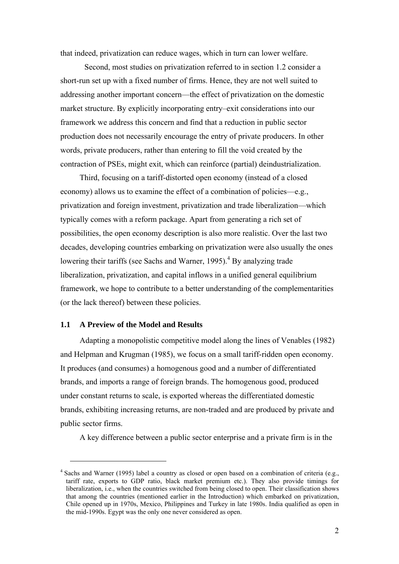that indeed, privatization can reduce wages, which in turn can lower welfare.

Second, most studies on privatization referred to in section 1.2 consider a short-run set up with a fixed number of firms. Hence, they are not well suited to addressing another important concern—the effect of privatization on the domestic market structure. By explicitly incorporating entry–exit considerations into our framework we address this concern and find that a reduction in public sector production does not necessarily encourage the entry of private producers. In other words, private producers, rather than entering to fill the void created by the contraction of PSEs, might exit, which can reinforce (partial) deindustrialization.

Third, focusing on a tariff-distorted open economy (instead of a closed economy) allows us to examine the effect of a combination of policies—e.g., privatization and foreign investment, privatization and trade liberalization—which typically comes with a reform package. Apart from generating a rich set of possibilities, the open economy description is also more realistic. Over the last two decades, developing countries embarking on privatization were also usually the ones lowering their tariffs (see Sachs and Warner, 1995).<sup>4</sup> By analyzing trade liberalization, privatization, and capital inflows in a unified general equilibrium framework, we hope to contribute to a better understanding of the complementarities (or the lack thereof) between these policies.

## **1.1 A Preview of the Model and Results**

 $\overline{a}$ 

Adapting a monopolistic competitive model along the lines of Venables (1982) and Helpman and Krugman (1985), we focus on a small tariff-ridden open economy. It produces (and consumes) a homogenous good and a number of differentiated brands, and imports a range of foreign brands. The homogenous good, produced under constant returns to scale, is exported whereas the differentiated domestic brands, exhibiting increasing returns, are non-traded and are produced by private and public sector firms.

A key difference between a public sector enterprise and a private firm is in the

<sup>&</sup>lt;sup>4</sup> Sachs and Warner (1995) label a country as closed or open based on a combination of criteria (e.g., tariff rate, exports to GDP ratio, black market premium etc.). They also provide timings for liberalization, i.e., when the countries switched from being closed to open. Their classification shows that among the countries (mentioned earlier in the Introduction) which embarked on privatization, Chile opened up in 1970s, Mexico, Philippines and Turkey in late 1980s. India qualified as open in the mid-1990s. Egypt was the only one never considered as open.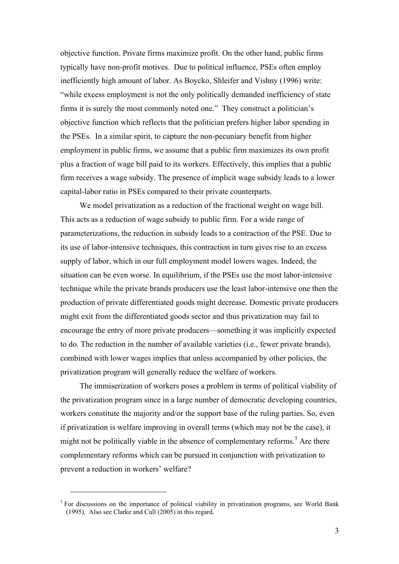objective function. Private firms maximize profit. On the other hand, public firms typically have non-profit motives. Due to political influence, PSEs often employ inefficiently high amount of labor. As Boycko, Shleifer and Vishny (1996) write: "while excess employment is not the only politically demanded inefficiency of state firms it is surely the most commonly noted one." They construct a politician's objective function which reflects that the politician prefers higher labor spending in the PSEs. In a similar spirit, to capture the non-pecuniary benefit from higher employment in public firms, we assume that a public firm maximizes its own profit plus a fraction of wage bill paid to its workers. Effectively, this implies that a public firm receives a wage subsidy. The presence of implicit wage subsidy leads to a lower capital-labor ratio in PSEs compared to their private counterparts.

We model privatization as a reduction of the fractional weight on wage bill. This acts as a reduction of wage subsidy to public firm. For a wide range of parameterizations, the reduction in subsidy leads to a contraction of the PSE. Due to its use of labor-intensive techniques, this contraction in turn gives rise to an excess supply of labor, which in our full employment model lowers wages. Indeed, the situation can be even worse. In equilibrium, if the PSEs use the most labor-intensive technique while the private brands producers use the least labor-intensive one then the production of private differentiated goods might decrease. Domestic private producers might exit from the differentiated goods sector and thus privatization may fail to encourage the entry of more private producers—something it was implicitly expected to do. The reduction in the number of available varieties (i.e., fewer private brands), combined with lower wages implies that unless accompanied by other policies, the privatization program will generally reduce the welfare of workers.

The immiserization of workers poses a problem in terms of political viability of the privatization program since in a large number of democratic developing countries, workers constitute the majority and/or the support base of the ruling parties. So, even if privatization is welfare improving in overall terms (which may not be the case), it might not be politically viable in the absence of complementary reforms.<sup>5</sup> Are there complementary reforms which can be pursued in conjunction with privatization to prevent a reduction in workers' welfare?

 $\overline{a}$ 

 $<sup>5</sup>$  For discussions on the importance of political viability in privatization programs, see World Bank</sup> (1995). Also see Clarke and Cull (2005) in this regard.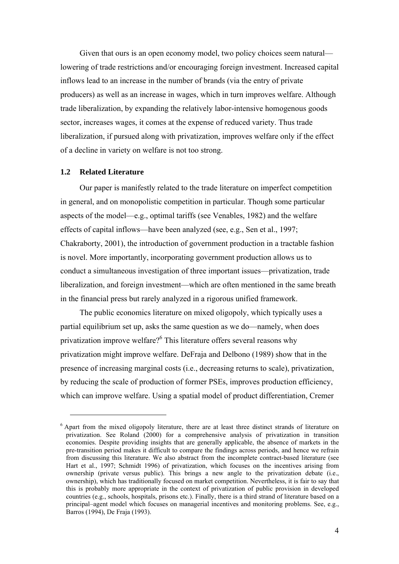Given that ours is an open economy model, two policy choices seem natural lowering of trade restrictions and/or encouraging foreign investment. Increased capital inflows lead to an increase in the number of brands (via the entry of private producers) as well as an increase in wages, which in turn improves welfare. Although trade liberalization, by expanding the relatively labor-intensive homogenous goods sector, increases wages, it comes at the expense of reduced variety. Thus trade liberalization, if pursued along with privatization, improves welfare only if the effect of a decline in variety on welfare is not too strong.

### **1.2 Related Literature**

 $\overline{a}$ 

Our paper is manifestly related to the trade literature on imperfect competition in general, and on monopolistic competition in particular. Though some particular aspects of the model—e.g., optimal tariffs (see Venables, 1982) and the welfare effects of capital inflows—have been analyzed (see, e.g., Sen et al., 1997; Chakraborty, 2001), the introduction of government production in a tractable fashion is novel. More importantly, incorporating government production allows us to conduct a simultaneous investigation of three important issues—privatization, trade liberalization, and foreign investment—which are often mentioned in the same breath in the financial press but rarely analyzed in a rigorous unified framework.

The public economics literature on mixed oligopoly, which typically uses a partial equilibrium set up, asks the same question as we do—namely, when does privatization improve welfare?<sup>6</sup> This literature offers several reasons why privatization might improve welfare. DeFraja and Delbono (1989) show that in the presence of increasing marginal costs (i.e., decreasing returns to scale), privatization, by reducing the scale of production of former PSEs, improves production efficiency, which can improve welfare. Using a spatial model of product differentiation, Cremer

<sup>&</sup>lt;sup>6</sup> Apart from the mixed oligopoly literature, there are at least three distinct strands of literature on privatization. See Roland (2000) for a comprehensive analysis of privatization in transition economies. Despite providing insights that are generally applicable, the absence of markets in the pre-transition period makes it difficult to compare the findings across periods, and hence we refrain from discussing this literature. We also abstract from the incomplete contract-based literature (see Hart et al., 1997; Schmidt 1996) of privatization, which focuses on the incentives arising from ownership (private versus public). This brings a new angle to the privatization debate (i.e., ownership), which has traditionally focused on market competition. Nevertheless, it is fair to say that this is probably more appropriate in the context of privatization of public provision in developed countries (e.g., schools, hospitals, prisons etc.). Finally, there is a third strand of literature based on a principal–agent model which focuses on managerial incentives and monitoring problems. See, e.g., Barros (1994), De Fraja (1993).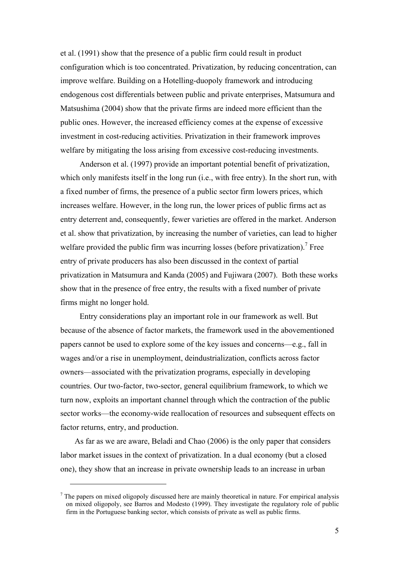et al. (1991) show that the presence of a public firm could result in product configuration which is too concentrated. Privatization, by reducing concentration, can improve welfare. Building on a Hotelling-duopoly framework and introducing endogenous cost differentials between public and private enterprises, Matsumura and Matsushima (2004) show that the private firms are indeed more efficient than the public ones. However, the increased efficiency comes at the expense of excessive investment in cost-reducing activities. Privatization in their framework improves welfare by mitigating the loss arising from excessive cost-reducing investments.

Anderson et al. (1997) provide an important potential benefit of privatization, which only manifests itself in the long run (i.e., with free entry). In the short run, with a fixed number of firms, the presence of a public sector firm lowers prices, which increases welfare. However, in the long run, the lower prices of public firms act as entry deterrent and, consequently, fewer varieties are offered in the market. Anderson et al. show that privatization, by increasing the number of varieties, can lead to higher welfare provided the public firm was incurring losses (before privatization).<sup>7</sup> Free entry of private producers has also been discussed in the context of partial privatization in Matsumura and Kanda (2005) and Fujiwara (2007). Both these works show that in the presence of free entry, the results with a fixed number of private firms might no longer hold.

Entry considerations play an important role in our framework as well. But because of the absence of factor markets, the framework used in the abovementioned papers cannot be used to explore some of the key issues and concerns—e.g., fall in wages and/or a rise in unemployment, deindustrialization, conflicts across factor owners—associated with the privatization programs, especially in developing countries. Our two-factor, two-sector, general equilibrium framework, to which we turn now, exploits an important channel through which the contraction of the public sector works—the economy-wide reallocation of resources and subsequent effects on factor returns, entry, and production.

As far as we are aware, Beladi and Chao (2006) is the only paper that considers labor market issues in the context of privatization. In a dual economy (but a closed one), they show that an increase in private ownership leads to an increase in urban

 $\overline{a}$ 

 $<sup>7</sup>$  The papers on mixed oligopoly discussed here are mainly theoretical in nature. For empirical analysis</sup> on mixed oligopoly, see Barros and Modesto (1999). They investigate the regulatory role of public firm in the Portuguese banking sector, which consists of private as well as public firms.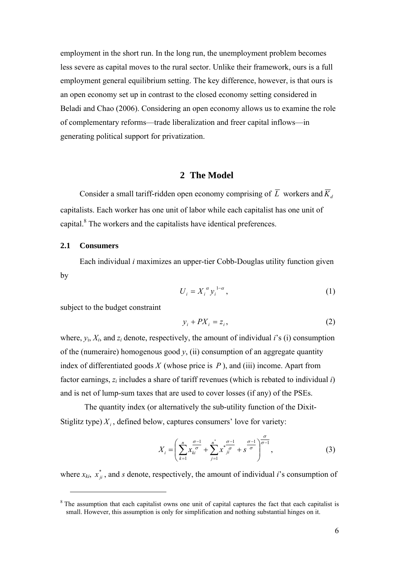employment in the short run. In the long run, the unemployment problem becomes less severe as capital moves to the rural sector. Unlike their framework, ours is a full employment general equilibrium setting. The key difference, however, is that ours is an open economy set up in contrast to the closed economy setting considered in Beladi and Chao (2006). Considering an open economy allows us to examine the role of complementary reforms—trade liberalization and freer capital inflows—in generating political support for privatization.

## **2 The Model**

Consider a small tariff-ridden open economy comprising of  $\overline{L}$  workers and  $\overline{K}_d$ capitalists. Each worker has one unit of labor while each capitalist has one unit of capital.<sup>8</sup> The workers and the capitalists have identical preferences.

## **2.1 Consumers**

 $\overline{a}$ 

Each individual *i* maximizes an upper-tier Cobb-Douglas utility function given by

$$
U_i = X_i^{\alpha} y_i^{1-\alpha}, \tag{1}
$$

subject to the budget constraint

$$
y_i + PX_i = z_i,\tag{2}
$$

where,  $y_i$ ,  $X_i$ , and  $z_i$  denote, respectively, the amount of individual *i*'s (i) consumption of the (numeraire) homogenous good  $\gamma$ , (ii) consumption of an aggregate quantity index of differentiated goods *X* (whose price is *P* ), and (iii) income. Apart from factor earnings, *zi* includes a share of tariff revenues (which is rebated to individual *i*) and is net of lump-sum taxes that are used to cover losses (if any) of the PSEs.

The quantity index (or alternatively the sub-utility function of the Dixit-Stiglitz type)  $X_i$ , defined below, captures consumers' love for variety:

$$
X_{i} = \left(\sum_{k=1}^{n} x_{ki}^{\frac{\sigma-1}{\sigma}} + \sum_{j=1}^{n^{*}} x_{ji}^{*\frac{\sigma-1}{\sigma}} + s^{\frac{\sigma-1}{\sigma}}\right)^{\frac{\sigma}{\sigma-1}},
$$
(3)

where  $x_{ki}$ ,  $x_{ji}^*$ , and *s* denote, respectively, the amount of individual *i*'s consumption of

 $8$  The assumption that each capitalist owns one unit of capital captures the fact that each capitalist is small. However, this assumption is only for simplification and nothing substantial hinges on it.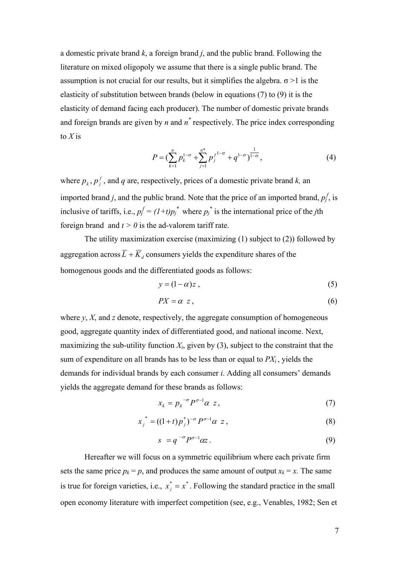a domestic private brand *k*, a foreign brand *j*, and the public brand. Following the literature on mixed oligopoly we assume that there is a single public brand. The assumption is not crucial for our results, but it simplifies the algebra.  $\sigma > 1$  is the elasticity of substitution between brands (below in equations (7) to (9) it is the elasticity of demand facing each producer). The number of domestic private brands and foreign brands are given by  $n$  and  $n^*$  respectively. The price index corresponding to *X* is

$$
P = \left(\sum_{k=1}^{n} p_k^{1-\sigma} + \sum_{j=1}^{n^*} p_j^{1-\sigma} + q^{1-\sigma}\right)^{\frac{1}{1-\sigma}},\tag{4}
$$

where  $p_k$ ,  $p_j^f$ , and  $q$  are, respectively, prices of a domestic private brand  $k$ , and imported brand *j*, and the public brand. Note that the price of an imported brand,  $p_j^f$ , is inclusive of tariffs, i.e.,  $p_j^f = (1+t)p_j^*$  where  $p_j^*$  is the international price of the *j*th foreign brand and  $t > 0$  is the ad-valorem tariff rate.

The utility maximization exercise (maximizing (1) subject to (2)) followed by aggregation across  $\overline{L} + \overline{K}_d$  consumers yields the expenditure shares of the homogenous goods and the differentiated goods as follows:

$$
y = (1 - \alpha)z \tag{5}
$$

$$
PX = \alpha \ z \tag{6}
$$

where  $y$ ,  $X$ , and  $z$  denote, respectively, the aggregate consumption of homogeneous good, aggregate quantity index of differentiated good, and national income. Next, maximizing the sub-utility function  $X_i$ , given by (3), subject to the constraint that the sum of expenditure on all brands has to be less than or equal to  $PX_i$ , yields the demands for individual brands by each consumer *i*. Adding all consumers' demands yields the aggregate demand for these brands as follows:

$$
x_k = p_k^{-\sigma} P^{\sigma-1} \alpha \ z \,, \tag{7}
$$

$$
x_j^* = ((1+t)p_j^*)^{-\sigma} P^{\sigma-1} \alpha z, \qquad (8)
$$

$$
s = q^{-\sigma} P^{\sigma-1} \alpha z \,. \tag{9}
$$

Hereafter we will focus on a symmetric equilibrium where each private firm sets the same price  $p_k = p$ , and produces the same amount of output  $x_k = x$ . The same is true for foreign varieties, i.e.,  $x_i^* = x^*$ . Following the standard practice in the small open economy literature with imperfect competition (see, e.g., Venables, 1982; Sen et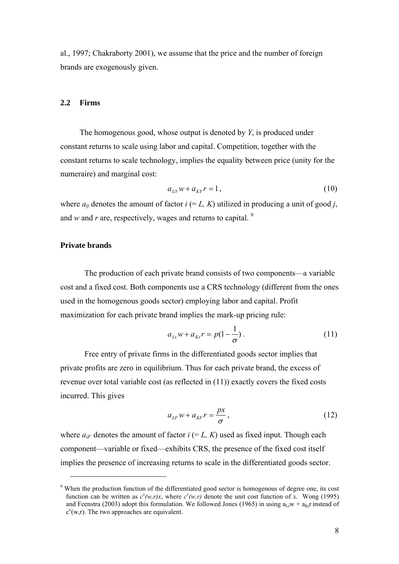al., 1997; Chakraborty 2001), we assume that the price and the number of foreign brands are exogenously given.

#### **2.2 Firms**

The homogenous good, whose output is denoted by *Y*, is produced under constant returns to scale using labor and capital. Competition, together with the constant returns to scale technology, implies the equality between price (unity for the numeraire) and marginal cost:

$$
a_{LY}w + a_{KY}r = 1, \qquad (10)
$$

where  $a_{ij}$  denotes the amount of factor  $i (= L, K)$  utilized in producing a unit of good *j*, and  $w$  and  $r$  are, respectively, wages and returns to capital.  $9$ 

## **Private brands**

 $\overline{a}$ 

The production of each private brand consists of two components—a variable cost and a fixed cost. Both components use a CRS technology (different from the ones used in the homogenous goods sector) employing labor and capital. Profit maximization for each private brand implies the mark-up pricing rule:

$$
a_{Lx}w + a_{Kx}r = p(1 - \frac{1}{\sigma}).
$$
\n(11)

Free entry of private firms in the differentiated goods sector implies that private profits are zero in equilibrium. Thus for each private brand, the excess of revenue over total variable cost (as reflected in (11)) exactly covers the fixed costs incurred. This gives

$$
a_{LF}w + a_{KF}r = \frac{px}{\sigma},\qquad(12)
$$

where  $a_{iF}$  denotes the amount of factor  $i (= L, K)$  used as fixed input. Though each component—variable or fixed—exhibits CRS, the presence of the fixed cost itself implies the presence of increasing returns to scale in the differentiated goods sector.

<sup>&</sup>lt;sup>9</sup> When the production function of the differentiated good sector is homogenous of degree one, its cost function can be written as  $c^x(w,r)x$ , where  $c^x(w,r)$  denote the unit cost function of *x*. Wong (1995) and Feenstra (2003) adopt this formulation. We followed Jones (1965) in using  $a_{\text{LiW}} + a_{\text{K}}$  instead of  $c^x(w,r)$ . The two approaches are equivalent.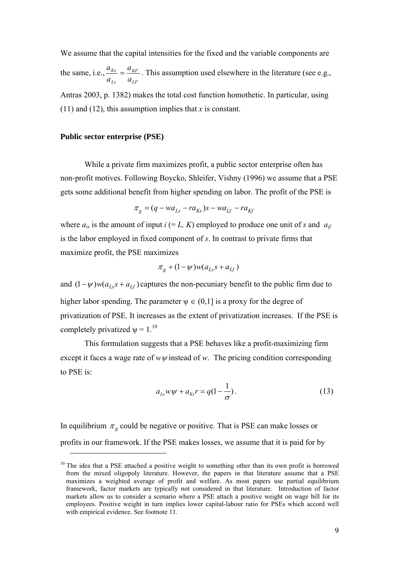We assume that the capital intensities for the fixed and the variable components are the same, i.e., *LF KF Lx Kx a a a*  $\frac{a_{Kx}}{a_{Kx}} = \frac{a_{Kx}}{a_{Kx}}$ . This assumption used elsewhere in the literature (see e.g., Antras 2003, p. 1382) makes the total cost function homothetic. In particular, using (11) and (12), this assumption implies that *x* is constant.

#### **Public sector enterprise (PSE)**

 $\overline{a}$ 

While a private firm maximizes profit, a public sector enterprise often has non-profit motives. Following Boycko, Shleifer, Vishny (1996) we assume that a PSE gets some additional benefit from higher spending on labor. The profit of the PSE is

$$
\pi_g = (q - wa_{Ls} - ra_{Ks})s - wa_{Lf} - ra_{Kf}
$$

where  $a_{is}$  is the amount of input  $i (= L, K)$  employed to produce one unit of *s* and  $a_{if}$ is the labor employed in fixed component of *s*. In contrast to private firms that maximize profit, the PSE maximizes

$$
\pi_g + (1 - \psi)w(a_{Ls}s + a_{Lf})
$$

and  $(1 - \psi) w(a_{Ls} s + a_{Lf})$  captures the non-pecuniary benefit to the public firm due to higher labor spending. The parameter  $\psi \in (0,1]$  is a proxy for the degree of privatization of PSE. It increases as the extent of privatization increases. If the PSE is completely privatized  $y = 1^{10}$ 

This formulation suggests that a PSE behaves like a profit-maximizing firm except it faces a wage rate of  $w\psi$  instead of w. The pricing condition corresponding to PSE is:

$$
a_{Ls}w\psi + a_{Ks}r = q(1 - \frac{1}{\sigma}).
$$
\n(13)

In equilibrium  $\pi_g$  could be negative or positive. That is PSE can make losses or profits in our framework. If the PSE makes losses, we assume that it is paid for by

 $10$  The idea that a PSE attached a positive weight to something other than its own profit is borrowed from the mixed oligopoly literature. However, the papers in that literature assume that a PSE maximizes a weighted average of profit and welfare. As most papers use partial equilibrium framework, factor markets are typically not considered in that literature. Introduction of factor markets allow us to consider a scenario where a PSE attach a positive weight on wage bill for its employees. Positive weight in turn implies lower capital-labour ratio for PSEs which accord well with empirical evidence. See footnote 11.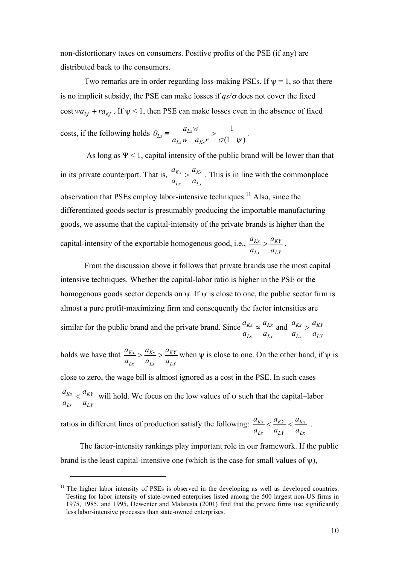non-distortionary taxes on consumers. Positive profits of the PSE (if any) are distributed back to the consumers.

Two remarks are in order regarding loss-making PSEs. If  $\psi = 1$ , so that there is no implicit subsidy, the PSE can make losses if *qs/*σ does not cover the fixed cost  $wa_{Lf} + ra_{Kf}$ . If  $\psi$  < 1, then PSE can make losses even in the absence of fixed

costs, if the following holds  $\theta_{Ls} = \frac{a_{Ls}w}{a_{Ls}w + a_{Ks}r} > \frac{1}{\sigma(1 - \psi)}$  $\theta_{Ls} \equiv \frac{a_{Ls}w}{a_{Ls}w + a_{Ks}r} > \frac{1}{\sigma(1-\psi)}$  $L_s W$  +  $u_{Ks}$  $\mu_{Ls} \equiv \frac{u_{Ls}w}{u_{Ls}w_{Ls}w_{Ls}w_{Ls}} > \frac{1}{-(1-w)}$ .

As long as  $\Psi$  < 1, capital intensity of the public brand will be lower than that in its private counterpart. That is, *Ls Ks Lx Kx a a a*  $\frac{a_{Kx}}{a_{Kx}} > \frac{a_{Ks}}{a_{Kx}}$ . This is in line with the commonplace observation that PSEs employ labor-intensive techniques.<sup>11</sup> Also, since the differentiated goods sector is presumably producing the importable manufacturing goods, we assume that the capital-intensity of the private brands is higher than the capital-intensity of the exportable homogenous good, i.e., *LY KY Lx Kx a a a*  $\frac{a_{Kx}}{a} > \frac{a_{KY}}{a}$ .

From the discussion above it follows that private brands use the most capital intensive techniques. Whether the capital-labor ratio is higher in the PSE or the homogenous goods sector depends on  $\psi$ . If  $\psi$  is close to one, the public sector firm is almost a pure profit-maximizing firm and consequently the factor intensities are similar for the public brand and the private brand. Since *Lx Kx Ls Ks a a a*  $\frac{a_{Ks}}{a} \approx \frac{a_{Kx}}{a}$  and *LY KY Lx Kx a a a*  $\frac{a_{Kx}}{a}$ 

holds we have that *LY KY Ls Ks Lx Kx a a a a a*  $\frac{a_{Kx}}{a_{Kx}} > \frac{a_{Kx}}{a_{Kx}}$  when  $\psi$  is close to one. On the other hand, if  $\psi$  is close to zero, the wage bill is almost ignored as a cost in the PSE. In such cases *KY Ks a*  $\frac{a_{Ks}}{a_{Kt}} < \frac{a_{KY}}{a_{Kt}}$  will hold. We focus on the low values of  $\psi$  such that the capital–labor

*LY Ls a a*

 $\overline{a}$ 

ratios in different lines of production satisfy the following: *Lx Kx LY KY Ls Ks a a a a a*  $\frac{a_{Ks}}{aK} < \frac{a_{KY}}{aK} < \frac{a_{Kx}}{aK}$ .

The factor-intensity rankings play important role in our framework. If the public brand is the least capital-intensive one (which is the case for small values of  $\psi$ ),

 $<sup>11</sup>$  The higher labor intensity of PSEs is observed in the developing as well as developed countries.</sup> Testing for labor intensity of state-owned enterprises listed among the 500 largest non-US firms in 1975, 1985, and 1995, Dewenter and Malatesta (2001) find that the private firms use significantly less labor-intensive processes than state-owned enterprises.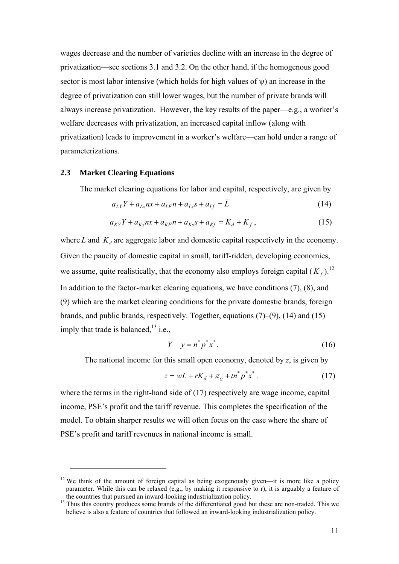wages decrease and the number of varieties decline with an increase in the degree of privatization—see sections 3.1 and 3.2. On the other hand, if the homogenous good sector is most labor intensive (which holds for high values of  $\psi$ ) an increase in the degree of privatization can still lower wages, but the number of private brands will always increase privatization. However, the key results of the paper—e.g., a worker's welfare decreases with privatization, an increased capital inflow (along with privatization) leads to improvement in a worker's welfare—can hold under a range of parameterizations.

#### **2.3 Market Clearing Equations**

 $\overline{a}$ 

The market clearing equations for labor and capital, respectively, are given by

$$
a_{LY}Y + a_{Lx}nx + a_{LF}n + a_{Ls}s + a_{Lf} = \overline{L}
$$
\n(14)

$$
a_{KY}Y + a_{Kx}nx + a_{KF}n + a_{Ks}S + a_{Kf} = \overline{K}_d + \overline{K}_f,
$$
\n(15)

where  $\overline{L}$  and  $\overline{K}_d$  are aggregate labor and domestic capital respectively in the economy. Given the paucity of domestic capital in small, tariff-ridden, developing economies, we assume, quite realistically, that the economy also employs foreign capital ( $\overline{K}_f$ ).<sup>12</sup> In addition to the factor-market clearing equations, we have conditions (7), (8), and (9) which are the market clearing conditions for the private domestic brands, foreign brands, and public brands, respectively. Together, equations (7)–(9), (14) and (15) imply that trade is balanced,  $^{13}$  i.e.,

$$
Y - y = n^* p^* x^*.
$$
 (16)

The national income for this small open economy, denoted by *z*, is given by

$$
z = w\overline{L} + r\overline{K}_d + \pi_g + tn^* p^* x^* \,. \tag{17}
$$

where the terms in the right-hand side of (17) respectively are wage income, capital income, PSE's profit and the tariff revenue. This completes the specification of the model. To obtain sharper results we will often focus on the case where the share of PSE's profit and tariff revenues in national income is small.

 $12$  We think of the amount of foreign capital as being exogenously given—it is more like a policy parameter. While this can be relaxed (e.g., by making it responsive to r), it is arguably a feature of the countries that pursued an inward-looking industrialization policy.

 $\frac{13}{13}$  Thus this country produces some brands of the differentiated good but these are non-traded. This we believe is also a feature of countries that followed an inward-looking industrialization policy.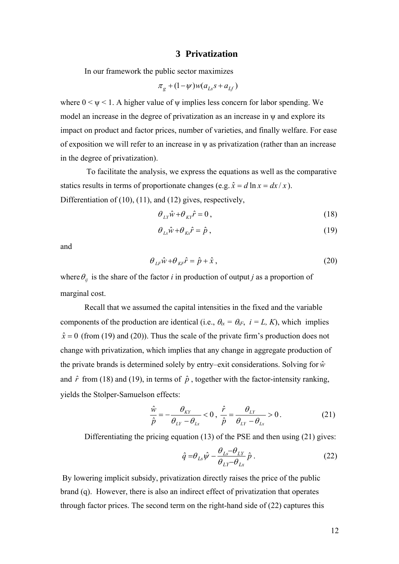## **3 Privatization**

In our framework the public sector maximizes

$$
\pi_g + (1 - \psi)w(a_{Ls} s + a_{Lf})
$$

where  $0 \leq w \leq 1$ . A higher value of w implies less concern for labor spending. We model an increase in the degree of privatization as an increase in ψ and explore its impact on product and factor prices, number of varieties, and finally welfare. For ease of exposition we will refer to an increase in  $\psi$  as privatization (rather than an increase in the degree of privatization).

 To facilitate the analysis, we express the equations as well as the comparative statics results in terms of proportionate changes (e.g.  $\hat{x} = d \ln x = dx / x$ ). Differentiation of (10), (11), and (12) gives, respectively,

$$
\theta_{LY}\hat{\mathbf{w}} + \theta_{KY}\hat{r} = 0, \qquad (18)
$$

$$
\theta_{Lx}\hat{w} + \theta_{Kx}\hat{r} = \hat{p},\qquad(19)
$$

and

$$
\theta_{LF}\hat{w} + \theta_{KF}\hat{r} = \hat{p} + \hat{x},\qquad(20)
$$

where  $\theta_{ij}$  is the share of the factor *i* in production of output *j* as a proportion of marginal cost.

Recall that we assumed the capital intensities in the fixed and the variable components of the production are identical (i.e.,  $\theta_{ix} = \theta_{iF}$ ,  $i = L, K$ ), which implies  $\hat{x} = 0$  (from (19) and (20)). Thus the scale of the private firm's production does not change with privatization, which implies that any change in aggregate production of the private brands is determined solely by entry–exit considerations. Solving for  $\hat{w}$ and  $\hat{r}$  from (18) and (19), in terms of  $\hat{p}$ , together with the factor-intensity ranking, yields the Stolper-Samuelson effects:

$$
\frac{\hat{w}}{\hat{p}} = -\frac{\theta_{\scriptscriptstyle{KY}}}{\theta_{\scriptscriptstyle{LY}} - \theta_{\scriptscriptstyle{Lx}}} < 0 \,, \, \frac{\hat{r}}{\hat{p}} = \frac{\theta_{\scriptscriptstyle{LY}}}{\theta_{\scriptscriptstyle{LY}} - \theta_{\scriptscriptstyle{Lx}}} > 0 \,. \tag{21}
$$

Differentiating the pricing equation (13) of the PSE and then using (21) gives:

$$
\hat{q} = \theta_{Ls}\hat{\psi} - \frac{\theta_{Ls} - \theta_{LY}}{\theta_{LY} - \theta_{Lx}}\hat{p}.
$$
\n(22)

 By lowering implicit subsidy, privatization directly raises the price of the public brand (q). However, there is also an indirect effect of privatization that operates through factor prices. The second term on the right-hand side of (22) captures this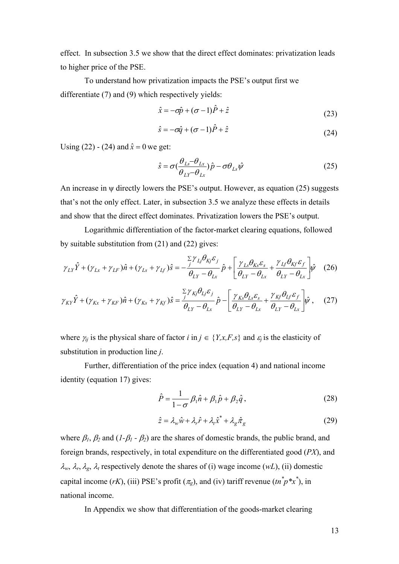effect. In subsection 3.5 we show that the direct effect dominates: privatization leads to higher price of the PSE.

To understand how privatization impacts the PSE's output first we differentiate (7) and (9) which respectively yields:

$$
\hat{x} = -\sigma \hat{p} + (\sigma - 1)\hat{P} + \hat{z}
$$
\n(23)

$$
\hat{s} = -\sigma \hat{q} + (\sigma - 1)\hat{P} + \hat{z}
$$
\n(24)

Using (22) - (24) and  $\hat{x} = 0$  we get:

$$
\hat{s} = \sigma \left( \frac{\theta_{Ls} - \theta_{Lx}}{\theta_{Lr} - \theta_{Lx}} \right) \hat{p} - \sigma \theta_{Ls} \hat{\psi}
$$
\n(25)

An increase in  $\psi$  directly lowers the PSE's output. However, as equation (25) suggests that's not the only effect. Later, in subsection 3.5 we analyze these effects in details and show that the direct effect dominates. Privatization lowers the PSE's output.

Logarithmic differentiation of the factor-market clearing equations, followed by suitable substitution from (21) and (22) gives:

$$
\gamma_{LY}\hat{Y} + (\gamma_{Lx} + \gamma_{LF})\hat{n} + (\gamma_{Ls} + \gamma_{Lf})\hat{s} = -\frac{\sum \gamma_{Lj}\theta_{Kj}\varepsilon_j}{\theta_{LY} - \theta_{Lx}}\hat{p} + \left[\frac{\gamma_{Ls}\theta_{Ks}\varepsilon_s}{\theta_{LY} - \theta_{Lx}} + \frac{\gamma_{Lf}\theta_{Kj}\varepsilon_j}{\theta_{LY} - \theta_{Lx}}\right]\hat{\psi}
$$
(26)

$$
\gamma_{KY}\hat{Y} + (\gamma_{Kx} + \gamma_{KF})\hat{n} + (\gamma_{Ks} + \gamma_{Kf})\hat{s} = \frac{\sum_j \gamma_{Kj}\theta_{Lj}\varepsilon_j}{\theta_{LY} - \theta_{Lx}}\hat{p} - \left[\frac{\gamma_{Ks}\theta_{Ls}\varepsilon_s}{\theta_{LY} - \theta_{Lx}} + \frac{\gamma_{Kf}\theta_{Lf}\varepsilon_f}{\theta_{LY} - \theta_{Lx}}\right]\hat{\psi}, \quad (27)
$$

where  $\gamma_{ij}$  is the physical share of factor *i* in  $j \in \{Y, x, F, s\}$  and  $\varepsilon_j$  is the elasticity of substitution in production line *j*.

Further, differentiation of the price index (equation 4) and national income identity (equation 17) gives:

$$
\hat{P} = \frac{1}{1 - \sigma} \beta_1 \hat{n} + \beta_1 \hat{p} + \beta_2 \hat{q} ,\qquad(28)
$$

$$
\hat{z} = \lambda_w \hat{w} + \lambda_r \hat{r} + \lambda_t \hat{x}^* + \lambda_g \hat{\pi}_g \tag{29}
$$

where  $\beta_1$ ,  $\beta_2$  and  $(I - \beta_1 - \beta_2)$  are the shares of domestic brands, the public brand, and foreign brands, respectively, in total expenditure on the differentiated good (*PX*), and  $\lambda_w$ ,  $\lambda_r$ ,  $\lambda_g$ ,  $\lambda_t$  respectively denote the shares of (i) wage income (*wL*), (ii) domestic capital income (*rK*), (iii) PSE's profit ( $\pi$ <sub>g</sub>), and (iv) tariff revenue ( $tn \, p * x \,$ <sup>\*</sup>), in national income.

In Appendix we show that differentiation of the goods-market clearing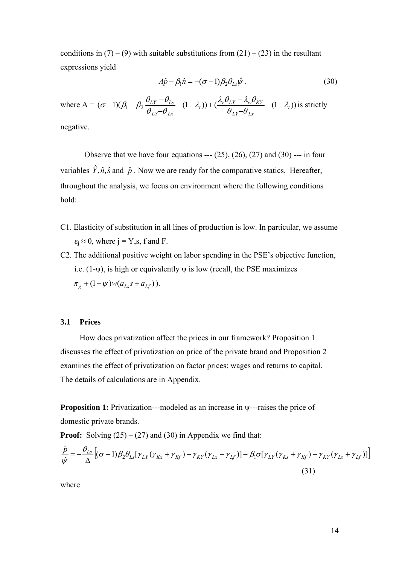conditions in  $(7) - (9)$  with suitable substitutions from  $(21) - (23)$  in the resultant expressions yield

$$
A\hat{p} - \beta_1 \hat{n} = -(\sigma - 1)\beta_2 \theta_{Ls} \hat{\psi} \,. \tag{30}
$$

where A =  $(\sigma - 1)(\beta_1 + \beta_2 \frac{\partial_L y}{\partial \rho} - (1 - \lambda_t)) + (\frac{\partial_L \partial_L y}{\partial \rho} - \frac{\partial_L y}{\partial \rho} - (1 - \lambda_t))$  $LY$ <sup> $\rightarrow$ </sup> $Lx$  $\alpha_t$  ) +  $\left(\frac{\lambda_r U_{LY} - \lambda_w U_{KY}}{Q} \right)$  $LY$ <sup> $\rightarrow$ </sup> $Lx$  $\frac{LY - U_{LS}}{LY - (1 - \lambda_*) + (\frac{\lambda_r U_{LY} - \lambda_w U_{KY}}{LY - (1 - \lambda_*)})$  $\theta_{\nu}$  $\theta$  $(\lambda_{\alpha}) + (\frac{\lambda_{r} \theta_{LY} - \lambda_{w} \theta_{L}}{2})$  $\theta_{\nu}$  $\theta$  $(\sigma-1)(\beta_1+\beta_2\frac{\theta_{LY}-\theta_{Ls}}{\theta_{LY}-\theta_{Lx}}-(1-\lambda_t))+\left(\frac{\lambda_r\theta_{LY}-\lambda_w\theta_{KY}}{\theta_{LY}-\theta_{Lx}}-(1-\lambda_t)\right)$  is strictly negative.

Observe that we have four equations ---  $(25)$ ,  $(26)$ ,  $(27)$  and  $(30)$  --- in four variables  $\hat{Y}, \hat{n}, \hat{s}$  and  $\hat{p}$ . Now we are ready for the comparative statics. Hereafter, throughout the analysis, we focus on environment where the following conditions hold:

- C1. Elasticity of substitution in all lines of production is low. In particular, we assume  $\varepsilon_i \approx 0$ , where  $j = Y$ , s, f and F.
- C2. The additional positive weight on labor spending in the PSE's objective function, i.e.  $(1-\psi)$ , is high or equivalently  $\psi$  is low (recall, the PSE maximizes  $\pi_g + (1 - \psi) w(a_{Ls} s + a_{Lf}).$

#### **3.1 Prices**

How does privatization affect the prices in our framework? Proposition 1 discusses **t**he effect of privatization on price of the private brand and Proposition 2 examines the effect of privatization on factor prices: wages and returns to capital. The details of calculations are in Appendix.

**Proposition 1:** Privatization---modeled as an increase in  $\nu$ ---raises the price of domestic private brands.

**Proof:** Solving  $(25) - (27)$  and  $(30)$  in Appendix we find that:

$$
\frac{\hat{p}}{\hat{\psi}} = -\frac{\theta_{LS}}{\Delta} \left[ (\sigma - 1) \beta_2 \theta_{LS} [\gamma_{LY} (\gamma_{Kx} + \gamma_{Kf}) - \gamma_{KY} (\gamma_{Lx} + \gamma_{Lf})] - \beta_1 \sigma [\gamma_{LY} (\gamma_{Ks} + \gamma_{Kf}) - \gamma_{KY} (\gamma_{Ls} + \gamma_{Lf})] \right]
$$
\n(31)

where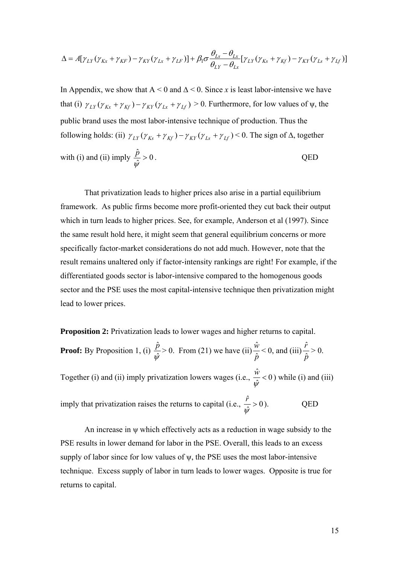$$
\Delta = A[\gamma_{LY}(\gamma_{Kx} + \gamma_{KF}) - \gamma_{KY}(\gamma_{Lx} + \gamma_{LF})] + \beta_1 \sigma \frac{\theta_{Ls} - \theta_{Lx}}{\theta_{LY} - \theta_{Lx}} [\gamma_{LY}(\gamma_{Ks} + \gamma_{Kf}) - \gamma_{KY}(\gamma_{Ls} + \gamma_{Lf})]
$$

In Appendix, we show that  $A < 0$  and  $\Delta < 0$ . Since x is least labor-intensive we have that (i)  $\gamma_{LY}(\gamma_{Kx} + \gamma_{Kf}) - \gamma_{KY}(\gamma_{Lx} + \gamma_{Lf}) > 0$ . Furthermore, for low values of  $\psi$ , the public brand uses the most labor-intensive technique of production. Thus the following holds: (ii)  $\gamma_{LY}(\gamma_{Ks} + \gamma_{Kf}) - \gamma_{KY}(\gamma_{Ls} + \gamma_{Lf}) < 0$ . The sign of  $\Delta$ , together with (i) and (ii) imply  $\frac{P}{\hat{\psi}} > 0$  $\frac{\hat{v}}{2}$ ψ  $\frac{\hat{p}}{2} > 0$ . QED

That privatization leads to higher prices also arise in a partial equilibrium framework. As public firms become more profit-oriented they cut back their output which in turn leads to higher prices. See, for example, Anderson et al (1997). Since the same result hold here, it might seem that general equilibrium concerns or more specifically factor-market considerations do not add much. However, note that the result remains unaltered only if factor-intensity rankings are right! For example, if the differentiated goods sector is labor-intensive compared to the homogenous goods sector and the PSE uses the most capital-intensive technique then privatization might lead to lower prices.

**Proposition 2:** Privatization leads to lower wages and higher returns to capital. **Proof:** By Proposition 1, (i)  $\hat{\psi}$  $\frac{\hat{p}}{2}$  > 0. From (21) we have (ii) *p w*  $\hat{p}$  $\frac{\hat{w}}{2}$  < 0, and (iii) *p r*  $\hat{p}$  $\frac{\hat{r}}{s} > 0.$ Together (i) and (ii) imply privatization lowers wages (i.e.,  $\frac{\hat{w}}{\hat{\psi}} < 0$ ψ  $\frac{\hat{w}}{2}$  < 0) while (i) and (iii) imply that privatization raises the returns to capital (i.e.,  $\frac{\hat{r}}{\hat{v}} > 0$ ψ  $\frac{\hat{r}}{2} > 0$ ). QED

An increase in ψ which effectively acts as a reduction in wage subsidy to the PSE results in lower demand for labor in the PSE. Overall, this leads to an excess supply of labor since for low values of  $\psi$ , the PSE uses the most labor-intensive technique. Excess supply of labor in turn leads to lower wages. Opposite is true for returns to capital.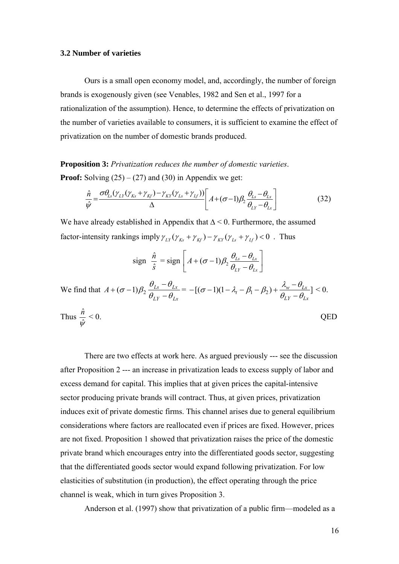#### **3.2 Number of varieties**

Ours is a small open economy model, and, accordingly, the number of foreign brands is exogenously given (see Venables, 1982 and Sen et al., 1997 for a rationalization of the assumption). Hence, to determine the effects of privatization on the number of varieties available to consumers, it is sufficient to examine the effect of privatization on the number of domestic brands produced.

# **Proposition 3:** *Privatization reduces the number of domestic varieties*. **Proof:** Solving  $(25) - (27)$  and  $(30)$  in Appendix we get:

$$
\frac{\hat{n}}{\hat{\psi}} = \frac{\sigma \theta_{Ls} (\gamma_{LY} (\gamma_{Ks} + \gamma_{Kf}) - \gamma_{XY} (\gamma_{Ls} + \gamma_{Lf}))}{\Delta} \left[ A + (\sigma - 1) \beta_2 \frac{\theta_{Ls} - \theta_{Lx}}{\theta_{LY} - \theta_{Lx}} \right]
$$
(32)

We have already established in Appendix that  $\Delta < 0$ . Furthermore, the assumed factor-intensity rankings imply  $\gamma_{LY}(\gamma_{Ks} + \gamma_{Kf}) - \gamma_{KY}(\gamma_{Ls} + \gamma_{Lf}) < 0$ . Thus

$$
\text{sign} \ \ \frac{\hat{n}}{\hat{s}} = \text{sign} \left[ A + (\sigma - 1)\beta_2 \frac{\theta_{Ls} - \theta_{Lx}}{\theta_{LY} - \theta_{Lx}} \right]
$$

We find that 
$$
A + (\sigma - 1)\beta_2 \frac{\theta_{Ls} - \theta_{Lx}}{\theta_{LY} - \theta_{Lx}} = -[(\sigma - 1)(1 - \lambda_t - \beta_1 - \beta_2) + \frac{\lambda_w - \theta_{Lx}}{\theta_{LY} - \theta_{Lx}}] < 0.
$$
  
Thus  $\frac{\hat{n}}{\hat{\psi}} < 0$ . QED

There are two effects at work here. As argued previously --- see the discussion after Proposition 2 --- an increase in privatization leads to excess supply of labor and excess demand for capital. This implies that at given prices the capital-intensive sector producing private brands will contract. Thus, at given prices, privatization induces exit of private domestic firms. This channel arises due to general equilibrium considerations where factors are reallocated even if prices are fixed. However, prices are not fixed. Proposition 1 showed that privatization raises the price of the domestic private brand which encourages entry into the differentiated goods sector, suggesting that the differentiated goods sector would expand following privatization. For low elasticities of substitution (in production), the effect operating through the price channel is weak, which in turn gives Proposition 3.

Anderson et al. (1997) show that privatization of a public firm—modeled as a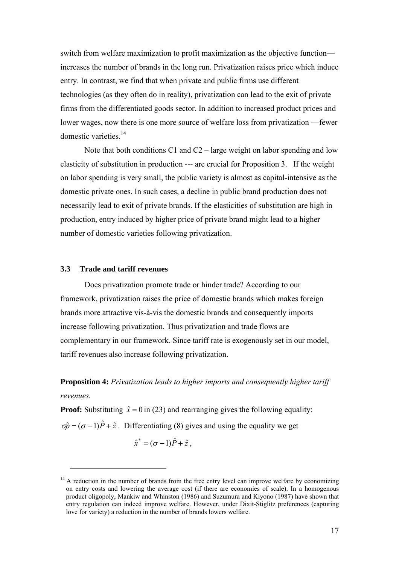switch from welfare maximization to profit maximization as the objective function increases the number of brands in the long run. Privatization raises price which induce entry. In contrast, we find that when private and public firms use different technologies (as they often do in reality), privatization can lead to the exit of private firms from the differentiated goods sector. In addition to increased product prices and lower wages, now there is one more source of welfare loss from privatization —fewer domestic varieties.<sup>14</sup>

Note that both conditions C1 and  $C2$  – large weight on labor spending and low elasticity of substitution in production --- are crucial for Proposition 3. If the weight on labor spending is very small, the public variety is almost as capital-intensive as the domestic private ones. In such cases, a decline in public brand production does not necessarily lead to exit of private brands. If the elasticities of substitution are high in production, entry induced by higher price of private brand might lead to a higher number of domestic varieties following privatization.

#### **3.3 Trade and tariff revenues**

 $\overline{a}$ 

 Does privatization promote trade or hinder trade? According to our framework, privatization raises the price of domestic brands which makes foreign brands more attractive vis-à-vis the domestic brands and consequently imports increase following privatization. Thus privatization and trade flows are complementary in our framework. Since tariff rate is exogenously set in our model, tariff revenues also increase following privatization.

# **Proposition 4:** *Privatization leads to higher imports and consequently higher tariff revenues.*

**Proof:** Substituting  $\hat{x} = 0$  in (23) and rearranging gives the following equality:

 $\hat{\sigma}$  *p* =  $(\sigma - 1)\hat{P} + \hat{z}$ . Differentiating (8) gives and using the equality we get

$$
\hat{x}^* = (\sigma - 1)\hat{P} + \hat{z},
$$

 $14$  A reduction in the number of brands from the free entry level can improve welfare by economizing on entry costs and lowering the average cost (if there are economies of scale). In a homogenous product oligopoly, Mankiw and Whinston (1986) and Suzumura and Kiyono (1987) have shown that entry regulation can indeed improve welfare. However, under Dixit-Stiglitz preferences (capturing love for variety) a reduction in the number of brands lowers welfare.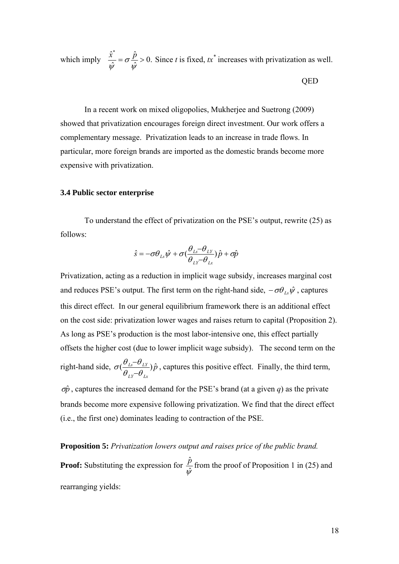which imply  $\frac{\hat{x}^*}{\hat{\psi}} = \sigma \frac{\hat{p}}{\hat{\psi}} > 0.$ ˆ  $\hat{x}^*$  $=\sigma \frac{P}{\Delta}$ ψ σ ψ  $\frac{\hat{x}^*}{\hat{x}} = \sigma \frac{\hat{p}}{\hat{x}} > 0$ . Since *t* is fixed, *tx*<sup>\*</sup> increases with privatization as well. QED

In a recent work on mixed oligopolies, Mukherjee and Suetrong (2009) showed that privatization encourages foreign direct investment. Our work offers a complementary message. Privatization leads to an increase in trade flows. In particular, more foreign brands are imported as the domestic brands become more expensive with privatization.

#### **3.4 Public sector enterprise**

To understand the effect of privatization on the PSE's output, rewrite (25) as follows:

$$
\hat{s} = -\sigma \theta_{Ls} \hat{\psi} + \sigma (\frac{\theta_{Ls} - \theta_{LY}}{\theta_{LY} - \theta_{Lx}}) \hat{p} + \sigma \hat{p}
$$

Privatization, acting as a reduction in implicit wage subsidy, increases marginal cost and reduces PSE's output. The first term on the right-hand side,  $-\sigma \theta_{Ls} \hat{\psi}$ , captures this direct effect. In our general equilibrium framework there is an additional effect on the cost side: privatization lower wages and raises return to capital (Proposition 2). As long as PSE's production is the most labor-intensive one, this effect partially offsets the higher cost (due to lower implicit wage subsidy). The second term on the right-hand side,  $\sigma(\frac{v_{Ls} - v_{LY}}{g})\hat{p}$  $(\frac{\theta_{L\text{s}}-\theta_{LY}}{\theta_{LY}-\theta_{L\text{x}}})\hat{p}$  $\sigma(\frac{E}{\theta_{IV}-})$  $-\frac{\theta_{LY}}{2}$ ) $\hat{p}$ , captures this positive effect. Finally, the third term,  $\sigma \hat{p}$ , captures the increased demand for the PSE's brand (at a given *q*) as the private brands become more expensive following privatization. We find that the direct effect (i.e., the first one) dominates leading to contraction of the PSE.

**Proposition 5:** *Privatization lowers output and raises price of the public brand.*  **Proof:** Substituting the expression for  $\hat{\psi}$  $\frac{\hat{p}}{|\hat{p}|}$  from the proof of Proposition 1 in (25) and rearranging yields: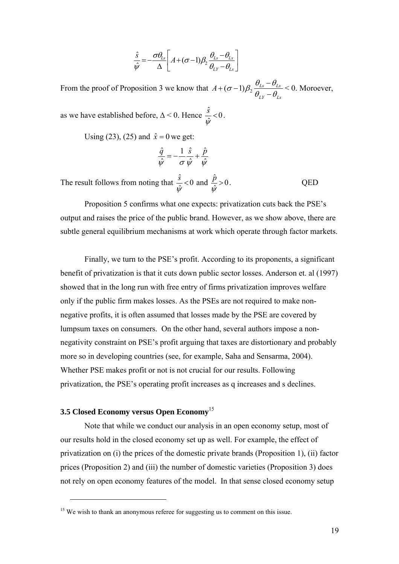$$
\frac{\hat{s}}{\hat{\psi}} = -\frac{\sigma \theta_{Ls}}{\Delta} \left[ A + (\sigma - 1) \beta_2 \frac{\theta_{Ls} - \theta_{Lx}}{\theta_{LY} - \theta_{Lx}} \right]
$$

 $rac{\hat{s}}{\hat{\psi}} = -\frac{\sigma \theta_{Ls}}{\Delta} \left[ A + (\sigma - 1)\beta_2 \right]$ <br>From the proof of Proposition 3 we know that *LY Lx*  $A + (\sigma - 1)\beta_2 \frac{\theta_{Ls} - \theta_{Lx}}{\theta_{Lx} - \theta_{Lx}}$  $+(\sigma-1)\beta_2 \frac{\theta_{Ls} - \theta_{Lx}}{\theta_{l} - \theta_{lx}} < 0$ . Moroever,

as we have established before,  $\Delta < 0$ . Hence  $\frac{\hat{s}}{\hat{\psi}} < 0$ ψ  $\frac{\hat{s}}{2}$  < 0.

Using (23), (25) and  $\hat{x} = 0$  we get:

$$
\frac{\hat{q}}{\hat{\psi}} = -\frac{1}{\sigma} \frac{\hat{s}}{\hat{\psi}} + \frac{\hat{p}}{\hat{\psi}}
$$

The result follows from noting that  $\frac{\hat{s}}{\hat{\psi}} < 0$  $\frac{\hat{s}}{\hat{\psi}} < 0$  and  $\frac{\hat{p}}{\hat{\psi}} > 0$ ψ  $\frac{\hat{p}}{2} > 0$ . QED

 Proposition 5 confirms what one expects: privatization cuts back the PSE's output and raises the price of the public brand. However, as we show above, there are subtle general equilibrium mechanisms at work which operate through factor markets.

 Finally, we turn to the PSE's profit. According to its proponents, a significant benefit of privatization is that it cuts down public sector losses. Anderson et. al (1997) showed that in the long run with free entry of firms privatization improves welfare only if the public firm makes losses. As the PSEs are not required to make nonnegative profits, it is often assumed that losses made by the PSE are covered by lumpsum taxes on consumers. On the other hand, several authors impose a nonnegativity constraint on PSE's profit arguing that taxes are distortionary and probably more so in developing countries (see, for example, Saha and Sensarma, 2004). Whether PSE makes profit or not is not crucial for our results. Following privatization, the PSE's operating profit increases as q increases and s declines.

# **3.5 Closed Economy versus Open Economy**<sup>15</sup>

 $\overline{a}$ 

Note that while we conduct our analysis in an open economy setup, most of our results hold in the closed economy set up as well. For example, the effect of privatization on (i) the prices of the domestic private brands (Proposition 1), (ii) factor prices (Proposition 2) and (iii) the number of domestic varieties (Proposition 3) does not rely on open economy features of the model. In that sense closed economy setup

<sup>&</sup>lt;sup>15</sup> We wish to thank an anonymous referee for suggesting us to comment on this issue.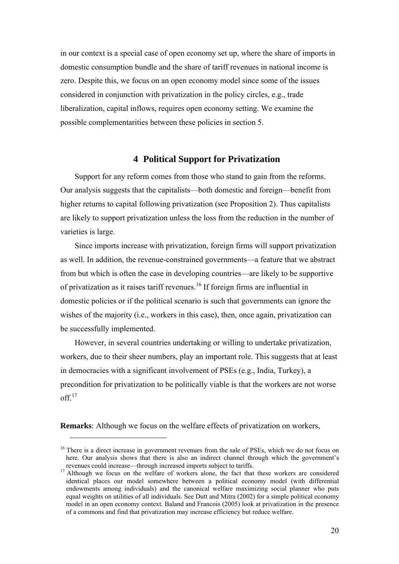in our context is a special case of open economy set up, where the share of imports in domestic consumption bundle and the share of tariff revenues in national income is zero. Despite this, we focus on an open economy model since some of the issues considered in conjunction with privatization in the policy circles, e.g., trade liberalization, capital inflows, requires open economy setting. We examine the possible complementarities between these policies in section 5.

## **4 Political Support for Privatization**

Support for any reform comes from those who stand to gain from the reforms. Our analysis suggests that the capitalists—both domestic and foreign—benefit from higher returns to capital following privatization (see Proposition 2). Thus capitalists are likely to support privatization unless the loss from the reduction in the number of varieties is large.

Since imports increase with privatization, foreign firms will support privatization as well. In addition, the revenue-constrained governments—a feature that we abstract from but which is often the case in developing countries—are likely to be supportive of privatization as it raises tariff revenues.16 If foreign firms are influential in domestic policies or if the political scenario is such that governments can ignore the wishes of the majority (i.e., workers in this case), then, once again, privatization can be successfully implemented.

However, in several countries undertaking or willing to undertake privatization, workers, due to their sheer numbers, play an important role. This suggests that at least in democracies with a significant involvement of PSEs (e.g., India, Turkey), a precondition for privatization to be politically viable is that the workers are not worse  $off.<sup>17</sup>$ 

**Remarks**: Although we focus on the welfare effects of privatization on workers,

 $\overline{a}$ 

<sup>&</sup>lt;sup>16</sup> There is a direct increase in government revenues from the sale of PSEs, which we do not focus on here. Our analysis shows that there is also an indirect channel through which the government's

revenues could increase—through increased imports subject to tariffs. 17 Although we focus on the welfare of workers alone, the fact that these workers are considered identical places our model somewhere between a political economy model (with differential endowments among individuals) and the canonical welfare maximizing social planner who puts equal weights on utilities of all individuals. See Dutt and Mitra (2002) for a simple political economy model in an open economy context. Baland and Francois (2005) look at privatization in the presence of a commons and find that privatization may increase efficiency but reduce welfare.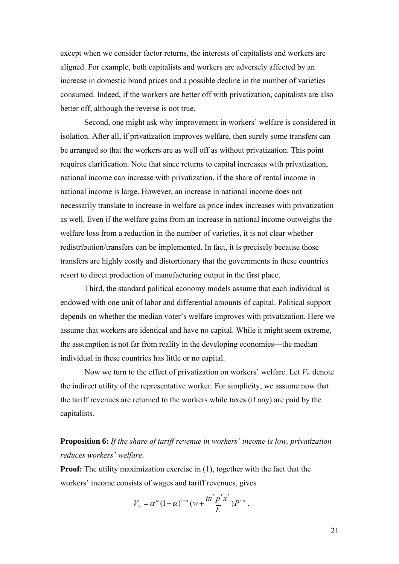except when we consider factor returns, the interests of capitalists and workers are aligned. For example, both capitalists and workers are adversely affected by an increase in domestic brand prices and a possible decline in the number of varieties consumed. Indeed, if the workers are better off with privatization, capitalists are also better off, although the reverse is not true.

Second, one might ask why improvement in workers' welfare is considered in isolation. After all, if privatization improves welfare, then surely some transfers can be arranged so that the workers are as well off as without privatization. This point requires clarification. Note that since returns to capital increases with privatization, national income can increase with privatization, if the share of rental income in national income is large. However, an increase in national income does not necessarily translate to increase in welfare as price index increases with privatization as well. Even if the welfare gains from an increase in national income outweighs the welfare loss from a reduction in the number of varieties, it is not clear whether redistribution/transfers can be implemented. In fact, it is precisely because those transfers are highly costly and distortionary that the governments in these countries resort to direct production of manufacturing output in the first place.

Third, the standard political economy models assume that each individual is endowed with one unit of labor and differential amounts of capital. Political support depends on whether the median voter's welfare improves with privatization. Here we assume that workers are identical and have no capital. While it might seem extreme, the assumption is not far from reality in the developing economies—the median individual in these countries has little or no capital.

Now we turn to the effect of privatization on workers' welfare. Let  $V_w$  denote the indirect utility of the representative worker. For simplicity, we assume now that the tariff revenues are returned to the workers while taxes (if any) are paid by the capitalists.

# **Proposition 6:** *If the share of tariff revenue in workers' income is low, privatization reduces workers' welfare*.

**Proof:** The utility maximization exercise in (1), together with the fact that the workers' income consists of wages and tariff revenues, gives

$$
V_w = \alpha^{\alpha} (1 - \alpha)^{1 - \alpha} (w + \frac{t n^* p^* x^*}{\overline{L}}) P^{-\alpha}.
$$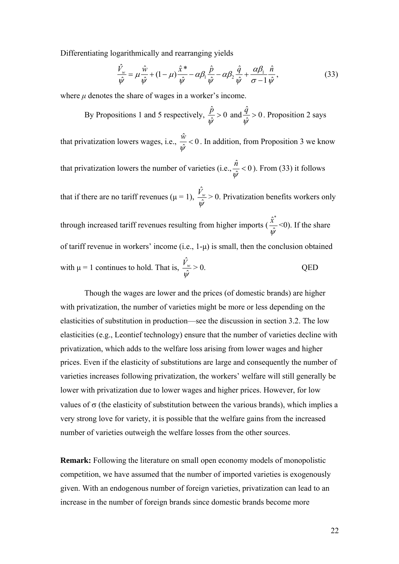Differentiating logarithmically and rearranging yields

$$
\frac{\hat{V}_w}{\hat{\psi}} = \mu \frac{\hat{w}}{\hat{\psi}} + (1 - \mu) \frac{\hat{x}^*}{\hat{\psi}} - \alpha \beta_1 \frac{\hat{p}}{\hat{\psi}} - \alpha \beta_2 \frac{\hat{q}}{\hat{\psi}} + \frac{\alpha \beta_1}{\sigma - 1} \frac{\hat{n}}{\hat{\psi}},
$$
\n(33)

where  $\mu$  denotes the share of wages in a worker's income.

By Propositions 1 and 5 respectively,  $\frac{\hat{p}}{\hat{\psi}} > 0$  $\frac{\hat{p}}{\hat{\psi}} > 0$  and  $\frac{\hat{q}}{\hat{\psi}} > 0$ ψ  $\frac{\hat{q}}{2}$  > 0. Proposition 2 says that privatization lowers wages, i.e.,  $\frac{\hat{w}}{\hat{v}} < 0$ ψ  $\frac{\hat{w}}{2}$  < 0. In addition, from Proposition 3 we know that privatization lowers the number of varieties (i.e.,  $\frac{\hat{n}}{\hat{\psi}} < 0$ ψ  $\frac{\hat{n}}{2}$  < 0). From (33) it follows that if there are no tariff revenues ( $\mu = 1$ ),  $\hat{\psi}$  $\frac{\hat{V}_w}{\hat{S}} > 0$ . Privatization benefits workers only through increased tariff revenues resulting from higher imports (  $\hat{\psi}$  $\frac{\hat{x}^*}{\hat{x}}$  <0). If the share of tariff revenue in workers' income (i.e., 1-μ) is small, then the conclusion obtained with  $\mu = 1$  continues to hold. That is,  $\hat{\psi}$  $\frac{\hat{V}_w}{\hat{S}} > 0.$  QED

Though the wages are lower and the prices (of domestic brands) are higher with privatization, the number of varieties might be more or less depending on the elasticities of substitution in production—see the discussion in section 3.2. The low elasticities (e.g., Leontief technology) ensure that the number of varieties decline with privatization, which adds to the welfare loss arising from lower wages and higher prices. Even if the elasticity of substitutions are large and consequently the number of varieties increases following privatization, the workers' welfare will still generally be lower with privatization due to lower wages and higher prices. However, for low values of σ (the elasticity of substitution between the various brands), which implies a very strong love for variety, it is possible that the welfare gains from the increased number of varieties outweigh the welfare losses from the other sources.

**Remark:** Following the literature on small open economy models of monopolistic competition, we have assumed that the number of imported varieties is exogenously given. With an endogenous number of foreign varieties, privatization can lead to an increase in the number of foreign brands since domestic brands become more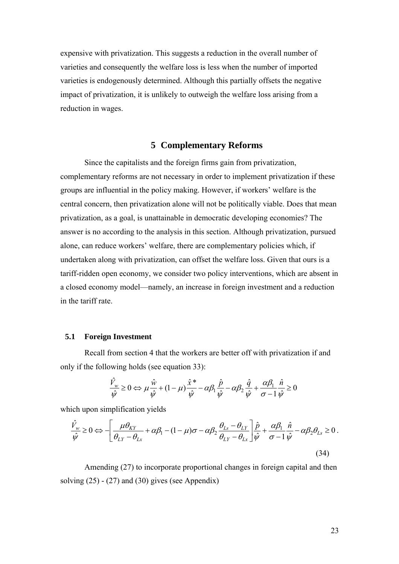expensive with privatization. This suggests a reduction in the overall number of varieties and consequently the welfare loss is less when the number of imported varieties is endogenously determined. Although this partially offsets the negative impact of privatization, it is unlikely to outweigh the welfare loss arising from a reduction in wages.

# **5 Complementary Reforms**

Since the capitalists and the foreign firms gain from privatization, complementary reforms are not necessary in order to implement privatization if these groups are influential in the policy making. However, if workers' welfare is the central concern, then privatization alone will not be politically viable. Does that mean privatization, as a goal, is unattainable in democratic developing economies? The answer is no according to the analysis in this section. Although privatization, pursued alone, can reduce workers' welfare, there are complementary policies which, if undertaken along with privatization, can offset the welfare loss. Given that ours is a tariff-ridden open economy, we consider two policy interventions, which are absent in a closed economy model—namely, an increase in foreign investment and a reduction in the tariff rate.

#### **5.1 Foreign Investment**

Recall from section 4 that the workers are better off with privatization if and only if the following holds (see equation 33):

$$
\frac{\hat{V}_w}{\hat{\psi}} \ge 0 \Leftrightarrow \mu \frac{\hat{w}}{\hat{\psi}} + (1 - \mu) \frac{\hat{x}^*}{\hat{\psi}} - \alpha \beta_1 \frac{\hat{p}}{\hat{\psi}} - \alpha \beta_2 \frac{\hat{q}}{\hat{\psi}} + \frac{\alpha \beta_1}{\sigma - 1} \frac{\hat{n}}{\hat{\psi}} \ge 0
$$

which upon simplification yields

$$
\frac{\hat{V}_w}{\hat{\psi}} \ge 0 \Leftrightarrow -\left[\frac{\mu \theta_{KY}}{\theta_{LY} - \theta_{Lx}} + \alpha \beta_1 - (1 - \mu)\sigma - \alpha \beta_2 \frac{\theta_{LS} - \theta_{LY}}{\theta_{LY} - \theta_{Lx}}\right] \frac{\hat{p}}{\hat{\psi}} + \frac{\alpha \beta_1}{\sigma - 1} \frac{\hat{n}}{\hat{\psi}} - \alpha \beta_2 \theta_{LS} \ge 0.
$$
\n(34)

Amending (27) to incorporate proportional changes in foreign capital and then solving  $(25)$  -  $(27)$  and  $(30)$  gives (see Appendix)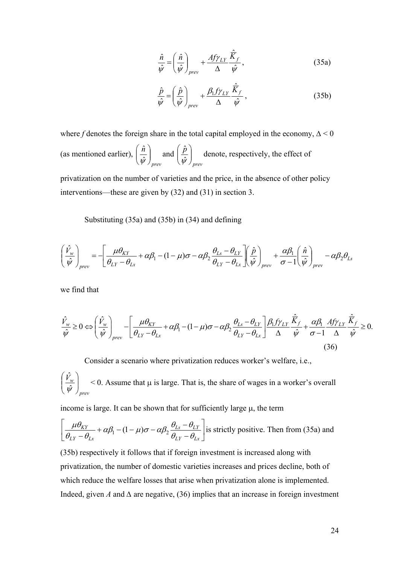$$
\frac{\hat{n}}{\hat{\psi}} = \left(\frac{\hat{n}}{\hat{\psi}}\right)_{prev} + \frac{Af\gamma_{LY}}{\Delta} \frac{\hat{K}_f}{\hat{\psi}},
$$
\n(35a)

$$
\frac{\hat{p}}{\hat{\psi}} = \left(\frac{\hat{p}}{\hat{\psi}}\right)_{prev} + \frac{\beta_1 f \gamma_{LY}}{\Delta} \frac{\hat{K}_f}{\hat{\psi}},
$$
\n(35b)

where *f* denotes the foreign share in the total capital employed in the economy,  $\Delta < 0$ (as mentioned earlier), *prev n*  $\sqrt{2}$  $\left(\frac{\hat{n}}{\hat{\psi}}\right)$ ⎝  $\sqrt{}$  $\hat{\psi}$  $\left(\frac{\hat{n}}{2}\right)$  and *prev p*  $\sqrt{2}$  $\left(\frac{\hat{p}}{\hat{\psi}}\right)$ ⎝  $\big($  $\hat{\psi}$  $\left(\frac{\hat{p}}{2}\right)$  denote, respectively, the effect of

privatization on the number of varieties and the price, in the absence of other policy interventions—these are given by (32) and (31) in section 3.

Substituting (35a) and (35b) in (34) and defining

$$
\left(\frac{\hat{V}_w}{\hat{\psi}}\right)_{prev} = -\left[\frac{\mu\theta_{KY}}{\theta_{LY}-\theta_{Lx}}+\alpha\beta_1-(1-\mu)\sigma-\alpha\beta_2\frac{\theta_{Lx}-\theta_{LY}}{\theta_{LY}-\theta_{Lx}}\right]\left(\frac{\hat{p}}{\hat{\psi}}\right)_{prev}+\frac{\alpha\beta_1}{\sigma-1}\left(\frac{\hat{n}}{\hat{\psi}}\right)_{prev}-\alpha\beta_2\theta_{Lx}
$$

we find that

$$
\frac{\hat{V}_w}{\hat{\psi}} \ge 0 \Leftrightarrow \left(\frac{\hat{V}_w}{\hat{\psi}}\right)_{prev} - \left[\frac{\mu \theta_{KY}}{\theta_{LY} - \theta_{Lx}} + \alpha \beta_1 - (1 - \mu)\sigma - \alpha \beta_2 \frac{\theta_{LS} - \theta_{LY}}{\theta_{LY} - \theta_{Lx}}\right] \frac{\beta_1 f \gamma_{LY}}{\Delta} \frac{\hat{\overline{K}}_f}{\hat{\psi}} + \frac{\alpha \beta_1}{\sigma - 1} \frac{Af \gamma_{LY}}{\Delta} \frac{\hat{\overline{K}}_f}{\hat{\psi}} \ge 0.
$$
\n(36)

Consider a scenario where privatization reduces worker's welfare, i.e.,

*prev*  $V_w$  $\sqrt{ }$ ⎠ ⎞  $\overline{\phantom{a}}$ ⎝  $\big($  $\hat{\psi}$  $\left(\frac{\hat{c}}{g}\right)^{2}$  < 0. Assume that  $\mu$  is large. That is, the share of wages in a worker's overall

income is large. It can be shown that for sufficiently large  $\mu$ , the term

$$
\left[ \frac{\mu \theta_{KY}}{\theta_{LY} - \theta_{Lx}} + \alpha \beta_1 - (1 - \mu)\sigma - \alpha \beta_2 \frac{\theta_{Ls} - \theta_{LY}}{\theta_{LY} - \theta_{Lx}} \right]
$$
 is strictly positive. Then from (35a) and

(35b) respectively it follows that if foreign investment is increased along with privatization, the number of domestic varieties increases and prices decline, both of which reduce the welfare losses that arise when privatization alone is implemented. Indeed, given *A* and *∆* are negative, (36) implies that an increase in foreign investment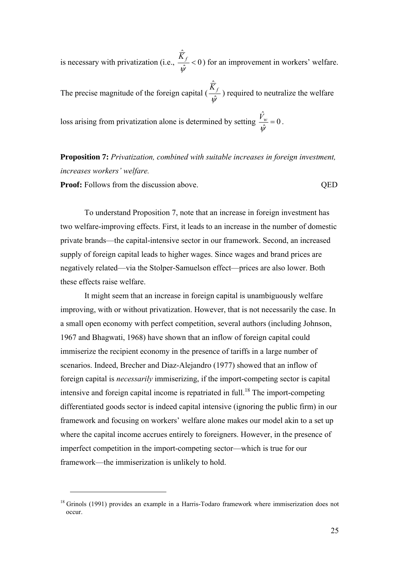is necessary with privatization (i.e.,  $\frac{H_f}{\hat{\psi}} < 0$  $\frac{1}{2}$  $\lt$ ψ  $\frac{\overline{K}_f}{\Delta}$  < 0) for an improvement in workers' welfare. The precise magnitude of the foreign capital (  $\hat{\psi}$  $\frac{\hat{\overline{K}}_f}{\hat{\sigma}}$ ) required to neutralize the welfare

loss arising from privatization alone is determined by setting  $\frac{v_w}{\hat{V}} = 0$  $\frac{\hat{y}}{\hat{y}} =$ ψ  $\frac{\hat{V}_w}{\hat{S}} = 0$ .

**Proposition 7:** *Privatization, combined with suitable increases in foreign investment, increases workers' welfare.* 

**Proof:** Follows from the discussion above. QED

To understand Proposition 7, note that an increase in foreign investment has two welfare-improving effects. First, it leads to an increase in the number of domestic private brands—the capital-intensive sector in our framework. Second, an increased supply of foreign capital leads to higher wages. Since wages and brand prices are negatively related—via the Stolper-Samuelson effect—prices are also lower. Both these effects raise welfare.

It might seem that an increase in foreign capital is unambiguously welfare improving, with or without privatization. However, that is not necessarily the case. In a small open economy with perfect competition, several authors (including Johnson, 1967 and Bhagwati, 1968) have shown that an inflow of foreign capital could immiserize the recipient economy in the presence of tariffs in a large number of scenarios. Indeed, Brecher and Diaz-Alejandro (1977) showed that an inflow of foreign capital is *necessarily* immiserizing, if the import-competing sector is capital intensive and foreign capital income is repatriated in full.<sup>18</sup> The import-competing differentiated goods sector is indeed capital intensive (ignoring the public firm) in our framework and focusing on workers' welfare alone makes our model akin to a set up where the capital income accrues entirely to foreigners. However, in the presence of imperfect competition in the import-competing sector—which is true for our framework—the immiserization is unlikely to hold.

 $\overline{a}$ 

<sup>&</sup>lt;sup>18</sup> Grinols (1991) provides an example in a Harris-Todaro framework where immiserization does not occur.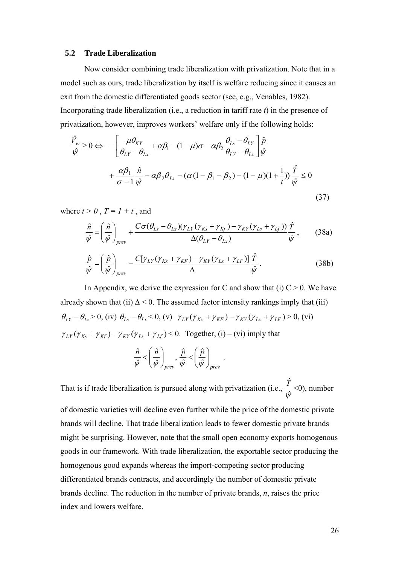#### **5.2 Trade Liberalization**

Now consider combining trade liberalization with privatization. Note that in a model such as ours, trade liberalization by itself is welfare reducing since it causes an exit from the domestic differentiated goods sector (see, e.g., Venables, 1982). Incorporating trade liberalization (i.e., a reduction in tariff rate *t*) in the presence of privatization, however, improves workers' welfare only if the following holds:

$$
\frac{\hat{V}_w}{\hat{\psi}} \ge 0 \Leftrightarrow -\left[\frac{\mu \theta_{KY}}{\theta_{LY} - \theta_{Lx}} + \alpha \beta_1 - (1 - \mu)\sigma - \alpha \beta_2 \frac{\theta_{LS} - \theta_{LY}}{\theta_{LY} - \theta_{Lx}}\right] \frac{\hat{p}}{\hat{\psi}}
$$

$$
+ \frac{\alpha \beta_1}{\sigma - 1} \frac{\hat{n}}{\hat{\psi}} - \alpha \beta_2 \theta_{LS} - (\alpha (1 - \beta_1 - \beta_2) - (1 - \mu)(1 + \frac{1}{t})) \frac{\hat{T}}{\hat{\psi}} \le 0
$$
(37)

where  $t > 0$ ,  $T = 1 + t$ , and

$$
\frac{\hat{n}}{\hat{\psi}} = \left(\frac{\hat{n}}{\hat{\psi}}\right)_{prev} + \frac{C\sigma(\theta_{Ls} - \theta_{Lx})(\gamma_{LY}(\gamma_{Ks} + \gamma_{Kf}) - \gamma_{KY}(\gamma_{Ls} + \gamma_{Lf}))}{\Delta(\theta_{LY} - \theta_{Lx})}\frac{\hat{T}}{\hat{\psi}},
$$
(38a)

$$
\frac{\hat{p}}{\hat{\psi}} = \left(\frac{\hat{p}}{\hat{\psi}}\right)_{prev} - \frac{C[\gamma_{LY}(\gamma_{Kx} + \gamma_{KF}) - \gamma_{KY}(\gamma_{Lx} + \gamma_{LF})]}{\Delta} \frac{\hat{T}}{\hat{\psi}}.
$$
\n(38b)

In Appendix, we derive the expression for C and show that (i)  $C > 0$ . We have already shown that (ii)  $\Delta$  < 0. The assumed factor intensity rankings imply that (iii)  $\theta_{LY} - \theta_{Lx} > 0$ , (iv)  $\theta_{Ls} - \theta_{Lx} < 0$ , (v)  $\gamma_{LY} (\gamma_{Kx} + \gamma_{KF}) - \gamma_{KY} (\gamma_{Lx} + \gamma_{LF}) > 0$ , (vi)  $\gamma_{LY}(\gamma_{Ks} + \gamma_{Kf}) - \gamma_{KY}(\gamma_{Ls} + \gamma_{Lf})$  < 0. Together, (i) – (vi) imply that

$$
\frac{\hat{n}}{\hat{\psi}} < \left(\frac{\hat{n}}{\hat{\psi}}\right)_{prev}, \frac{\hat{p}}{\hat{\psi}} < \left(\frac{\hat{p}}{\hat{\psi}}\right)_{prev}.
$$

That is if trade liberalization is pursued along with privatization (i.e.,  $\hat{\psi}$  $\frac{\hat{T}}{2}$  <0), number

of domestic varieties will decline even further while the price of the domestic private brands will decline. That trade liberalization leads to fewer domestic private brands might be surprising. However, note that the small open economy exports homogenous goods in our framework. With trade liberalization, the exportable sector producing the homogenous good expands whereas the import-competing sector producing differentiated brands contracts, and accordingly the number of domestic private brands decline. The reduction in the number of private brands, *n*, raises the price index and lowers welfare.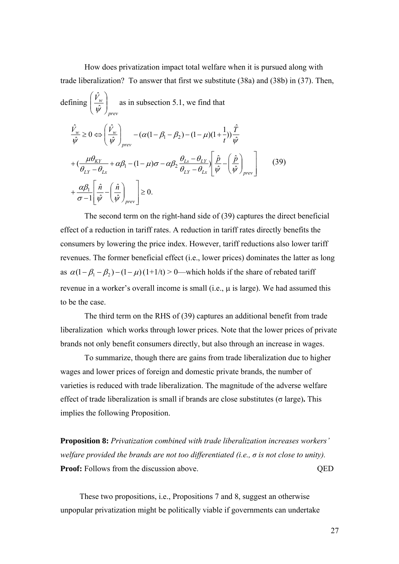How does privatization impact total welfare when it is pursued along with trade liberalization? To answer that first we substitute (38a) and (38b) in (37). Then,

defining 
$$
\left(\frac{\hat{V}_w}{\hat{V}}\right)_{prev}
$$
 as in subsection 5.1, we find that  
\n
$$
\frac{\hat{V}_w}{\hat{V}} \ge 0 \Leftrightarrow \left(\frac{\hat{V}_w}{\hat{V}}\right)_{prev} - (\alpha(1 - \beta_1 - \beta_2) - (1 - \mu)(1 + \frac{1}{t}))\frac{\hat{T}}{\hat{V}}
$$
\n
$$
+ \left(\frac{\mu\theta_{KY}}{\theta_{LY} - \theta_{Lx}} + \alpha\beta_1 - (1 - \mu)\sigma - \alpha\beta_2 \frac{\theta_{LS} - \theta_{LY}}{\theta_{LY} - \theta_{Lx}}\right) \left[\frac{\hat{p}}{\hat{V}} - \left(\frac{\hat{p}}{\hat{V}}\right)_{prev}\right]
$$
\n
$$
+ \frac{\alpha\beta_1}{\sigma - 1} \left[\frac{\hat{n}}{\hat{V}} - \left(\frac{\hat{n}}{\hat{V}}\right)_{prev}\right] \ge 0.
$$
\n(39)

The second term on the right-hand side of (39) captures the direct beneficial effect of a reduction in tariff rates. A reduction in tariff rates directly benefits the consumers by lowering the price index. However, tariff reductions also lower tariff revenues. The former beneficial effect (i.e., lower prices) dominates the latter as long as  $\alpha(1 - \beta_1 - \beta_2) - (1 - \mu)(1 + 1/t) > 0$ —which holds if the share of rebated tariff revenue in a worker's overall income is small (i.e., μ is large). We had assumed this to be the case.

The third term on the RHS of (39) captures an additional benefit from trade liberalization which works through lower prices. Note that the lower prices of private brands not only benefit consumers directly, but also through an increase in wages.

To summarize, though there are gains from trade liberalization due to higher wages and lower prices of foreign and domestic private brands, the number of varieties is reduced with trade liberalization. The magnitude of the adverse welfare effect of trade liberalization is small if brands are close substitutes (σ large)**.** This implies the following Proposition.

**Proposition 8:** *Privatization combined with trade liberalization increases workers' welfare provided the brands are not too differentiated (i.e., σ is not close to unity).* **Proof:** Follows from the discussion above.  $\bullet$  QED

These two propositions, i.e., Propositions 7 and 8, suggest an otherwise unpopular privatization might be politically viable if governments can undertake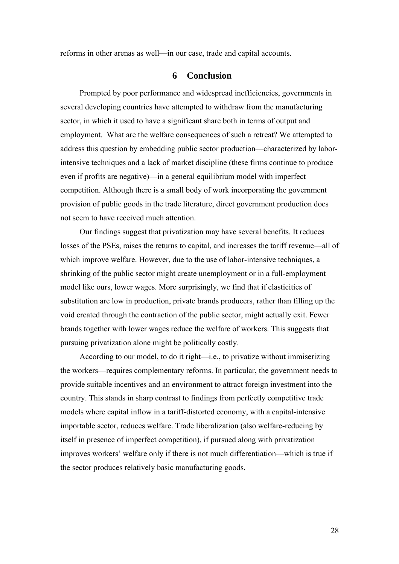reforms in other arenas as well—in our case, trade and capital accounts.

## **6 Conclusion**

Prompted by poor performance and widespread inefficiencies, governments in several developing countries have attempted to withdraw from the manufacturing sector, in which it used to have a significant share both in terms of output and employment. What are the welfare consequences of such a retreat? We attempted to address this question by embedding public sector production—characterized by laborintensive techniques and a lack of market discipline (these firms continue to produce even if profits are negative)—in a general equilibrium model with imperfect competition. Although there is a small body of work incorporating the government provision of public goods in the trade literature, direct government production does not seem to have received much attention.

Our findings suggest that privatization may have several benefits. It reduces losses of the PSEs, raises the returns to capital, and increases the tariff revenue—all of which improve welfare. However, due to the use of labor-intensive techniques, a shrinking of the public sector might create unemployment or in a full-employment model like ours, lower wages. More surprisingly, we find that if elasticities of substitution are low in production, private brands producers, rather than filling up the void created through the contraction of the public sector, might actually exit. Fewer brands together with lower wages reduce the welfare of workers. This suggests that pursuing privatization alone might be politically costly.

According to our model, to do it right—i.e., to privatize without immiserizing the workers—requires complementary reforms. In particular, the government needs to provide suitable incentives and an environment to attract foreign investment into the country. This stands in sharp contrast to findings from perfectly competitive trade models where capital inflow in a tariff-distorted economy, with a capital-intensive importable sector, reduces welfare. Trade liberalization (also welfare-reducing by itself in presence of imperfect competition), if pursued along with privatization improves workers' welfare only if there is not much differentiation—which is true if the sector produces relatively basic manufacturing goods.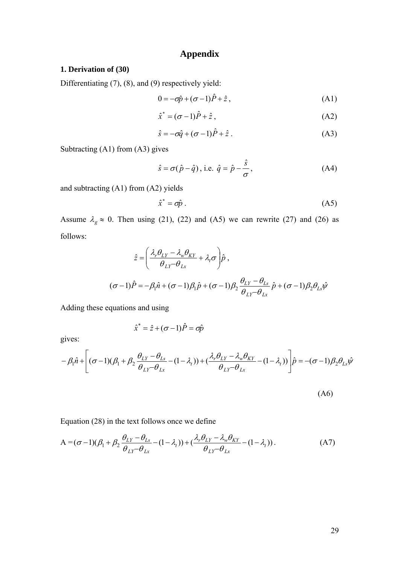# **Appendix**

## **1. Derivation of (30)**

Differentiating (7), (8), and (9) respectively yield:

$$
0 = -\sigma \hat{p} + (\sigma - 1)\hat{P} + \hat{z}, \qquad (A1)
$$

$$
\hat{x}^* = (\sigma - 1)\hat{P} + \hat{z},\tag{A2}
$$

$$
\hat{s} = -\sigma \hat{q} + (\sigma - 1)\hat{P} + \hat{z} \,. \tag{A3}
$$

Subtracting (A1) from (A3) gives

$$
\hat{s} = \sigma(\hat{p} - \hat{q}), \text{ i.e. } \hat{q} = \hat{p} - \frac{\hat{s}}{\sigma}, \tag{A4}
$$

and subtracting (A1) from (A2) yields

$$
\hat{x}^* = \sigma \hat{p} \tag{A5}
$$

Assume  $\lambda_g \approx 0$ . Then using (21), (22) and (A5) we can rewrite (27) and (26) as follows:

$$
\hat{z} = \left(\frac{\lambda_r \theta_{LY} - \lambda_w \theta_{KY}}{\theta_{LY} - \theta_{Lx}} + \lambda_t \sigma\right) \hat{p},
$$
  

$$
(\sigma - 1)\hat{P} = -\beta_1 \hat{n} + (\sigma - 1)\beta_1 \hat{p} + (\sigma - 1)\beta_2 \frac{\theta_{LY} - \theta_{Lx}}{\theta_{LY} - \theta_{Lx}} \hat{p} + (\sigma - 1)\beta_2 \theta_{Lx} \hat{\psi}
$$

Adding these equations and using

$$
\hat{x}^* = \hat{z} + (\sigma - 1)\hat{P} = \sigma \hat{p}
$$

gives:

$$
-\beta_1 \hat{n} + \left[ (\sigma - 1)(\beta_1 + \beta_2 \frac{\theta_{LY} - \theta_{LS}}{\theta_{LY} - \theta_{Lx}} - (1 - \lambda_t)) + (\frac{\lambda_r \theta_{LY} - \lambda_w \theta_{KY}}{\theta_{LY} - \theta_{Lx}} - (1 - \lambda_t)) \right] \hat{p} = -(\sigma - 1)\beta_2 \theta_{LS} \hat{\psi}
$$

(A6)

Equation (28) in the text follows once we define

$$
A = (\sigma - 1)(\beta_1 + \beta_2 \frac{\theta_{LY} - \theta_{LS}}{\theta_{LY} - \theta_{Lx}} - (1 - \lambda_t)) + (\frac{\lambda_r \theta_{LY} - \lambda_w \theta_{KY}}{\theta_{LY} - \theta_{Lx}} - (1 - \lambda_t)).
$$
\n(A7)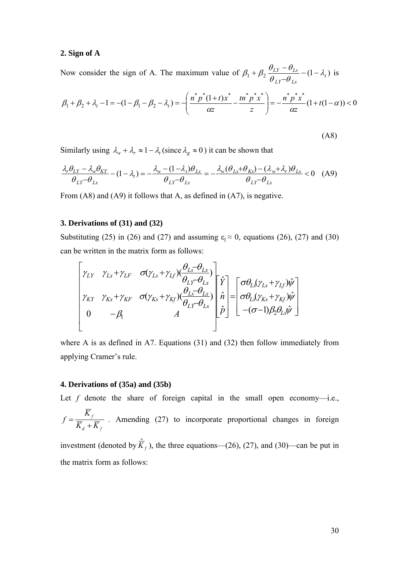#### **2. Sign of A**

Now consider the sign of A. The maximum value of  $\beta_1 + \beta_2 \frac{\partial_L V}{\partial x^2} - (1 - \lambda_t)$  $LY$ <sup>- $U$ </sup>  $Lx$  $\frac{LY - U_{Ls}}{2} - (1 - \lambda)$  $\beta_1 + \beta_2 \frac{\theta_{LY} - \theta_{Ls}}{\theta_{LY} - \theta_{Lx}} - (1 - \lambda_t)$  is

$$
\beta_1 + \beta_2 + \lambda_t - 1 = -(1 - \beta_1 - \beta_2 - \lambda_t) = -\left(\frac{n^* p^* (1 + t) x^*}{\alpha z} - \frac{t n^* p^* x^*}{z}\right) = -\frac{n^* p^* x^*}{\alpha z} (1 + t(1 - \alpha)) < 0
$$

 $(A8)$ 

Similarly using  $\lambda_w + \lambda_r \approx 1 - \lambda_t$  (since  $\lambda_g \approx 0$ ) it can be shown that

$$
\frac{\lambda_r \theta_{LY} - \lambda_w \theta_{KY}}{\theta_{LY} - \theta_{Lx}} - (1 - \lambda_t) = -\frac{\lambda_w - (1 - \lambda_t) \theta_{Lx}}{\theta_{LY} - \theta_{Lx}} = -\frac{\lambda_w (\theta_{Lx} + \theta_{Kx}) - (\lambda_w + \lambda_r) \theta_{Lx}}{\theta_{LY} - \theta_{Lx}} < 0 \quad (A9)
$$

From (A8) and (A9) it follows that A, as defined in (A7), is negative.

## **3. Derivations of (31) and (32)**

Substituting (25) in (26) and (27) and assuming  $\varepsilon_i \approx 0$ , equations (26), (27) and (30) can be written in the matrix form as follows:

$$
\begin{bmatrix}\n\gamma_{LY} & \gamma_{Lx} + \gamma_{LF} & \sigma(\gamma_{Ls} + \gamma_{Lf})(\frac{\theta_{LS} - \theta_{Lx}}{\theta_{LY} - \theta_{Lx}}) \\
\gamma_{KY} & \gamma_{Kx} + \gamma_{KF} & \sigma(\gamma_{Ks} + \gamma_{Kf})(\frac{\theta_{LS} - \theta_{Lx}}{\theta_{LY} - \theta_{Lx}}) \\
0 & -\beta_1 & A\n\end{bmatrix}\n\hat{\vec{p}} = \begin{bmatrix}\n\sigma\theta_{LS}(\gamma_{LS} + \gamma_{Lf})\hat{\psi} \\
\hat{\sigma}\theta_{LS}(\gamma_{Ks} + \gamma_{Kf})\hat{\psi} \\
-\sigma\sigma\theta_{LS}\hat{\psi}\n\end{bmatrix}
$$

where A is as defined in A7. Equations (31) and (32) then follow immediately from applying Cramer's rule.

#### **4. Derivations of (35a) and (35b)**

Let  $f$  denote the share of foreign capital in the small open economy-i.e.,

*d f f K K K f* <sup>+</sup> <sup>=</sup> . Amending (27) to incorporate proportional changes in foreign

investment (denoted by  $\hat{\overline{K}}_f$ ), the three equations—(26), (27), and (30)—can be put in the matrix form as follows: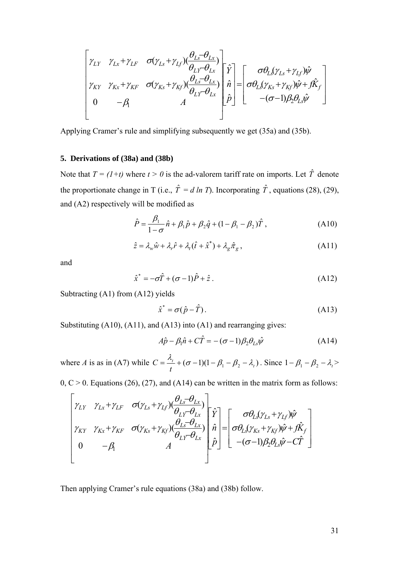$$
\begin{bmatrix}\n\gamma_{LY} & \gamma_{Lx} + \gamma_{LF} & \sigma(\gamma_{Ls} + \gamma_{Lf})(\frac{\theta_{LS} - \theta_{Lx}}{\theta_{LY} - \theta_{Lx}}) \\
\gamma_{KY} & \gamma_{Kx} + \gamma_{KF} & \sigma(\gamma_{Ks} + \gamma_{Kf})(\frac{\theta_{LS} - \theta_{Lx}}{\theta_{LY} - \theta_{Lx}}) \\
0 & -\beta_1 & A\n\end{bmatrix}\n\hat{\vec{p}} = \n\begin{bmatrix}\n\sigma\theta_{LS}(\gamma_{LS} + \gamma_{Lf})\hat{\psi} \\
\sigma\theta_{LS}(\gamma_{Ks} + \gamma_{Kf})\hat{\psi} + \hat{f}\hat{K}_f \\
-\sigma\sigma^{-1})\beta_2\theta_{LS}\hat{\psi}\n\end{bmatrix}
$$

Applying Cramer's rule and simplifying subsequently we get (35a) and (35b).

#### **5. Derivations of (38a) and (38b)**

Note that  $T = (1+t)$  where  $t > 0$  is the ad-valorem tariff rate on imports. Let  $\hat{T}$  denote the proportionate change in T (i.e.,  $\hat{T} = d \ln T$ ). Incorporating  $\hat{T}$ , equations (28), (29), and (A2) respectively will be modified as

$$
\hat{P} = \frac{\beta_1}{1 - \sigma} \hat{n} + \beta_1 \hat{p} + \beta_2 \hat{q} + (1 - \beta_1 - \beta_2) \hat{T},
$$
\n(A10)

$$
\hat{z} = \lambda_w \hat{w} + \lambda_r \hat{r} + \lambda_t (\hat{t} + \hat{x}^*) + \lambda_g \hat{\pi}_g , \qquad (A11)
$$

and

$$
\hat{x}^* = -\sigma \hat{T} + (\sigma - 1)\hat{P} + \hat{z} \,. \tag{A12}
$$

Subtracting (A1) from (A12) yields

$$
\hat{x}^* = \sigma(\hat{p} - \hat{T}).\tag{A13}
$$

Substituting (A10), (A11), and (A13) into (A1) and rearranging gives:

$$
A\hat{p} - \beta_1 \hat{n} + C\hat{T} = -(\sigma - 1)\beta_2 \theta_{Ls} \hat{\psi}
$$
 (A14)

where *A* is as in (A7) while  $C = \frac{\lambda_t}{\lambda} + (\sigma - 1)(1 - \beta_1 - \beta_2 - \lambda_t)$ *t*  $C = \frac{\lambda_i}{\lambda_i} + (\sigma - 1)(1 - \beta_1 - \beta_2 - \lambda_i)$ . Since  $1 - \beta_1 - \beta_2 - \lambda_i$ 

 $0, C > 0$ . Equations (26), (27), and (A14) can be written in the matrix form as follows:

$$
\begin{bmatrix}\n\gamma_{LY} & \gamma_{Lx} + \gamma_{LF} & \sigma(\gamma_{Ls} + \gamma_{Lf})(\frac{\theta_{Ls} - \theta_{Lx}}{\theta_{LY} - \theta_{Lx}}) \\
\gamma_{KY} & \gamma_{Kx} + \gamma_{KF} & \sigma(\gamma_{Ks} + \gamma_{Kf})(\frac{\theta_{Ls} - \theta_{Lx}}{\theta_{LY} - \theta_{Lx}}) \\
0 & -\beta_1 & A\n\end{bmatrix}\n\hat{\vec{p}} = \n\begin{bmatrix}\n\sigma\theta_{LS}(\gamma_{Ls} + \gamma_{Lf})\hat{\psi} + \hat{f}\hat{K}_f \\
\hat{\sigma}\theta_{LS}(\gamma_{Ks} + \gamma_{Kf})\hat{\psi} + \hat{f}\hat{K}_f \\
-\sigma\sigma^{-1})\beta_2\theta_{LS}\hat{\psi} - C\hat{T}\n\end{bmatrix}
$$

Then applying Cramer's rule equations (38a) and (38b) follow.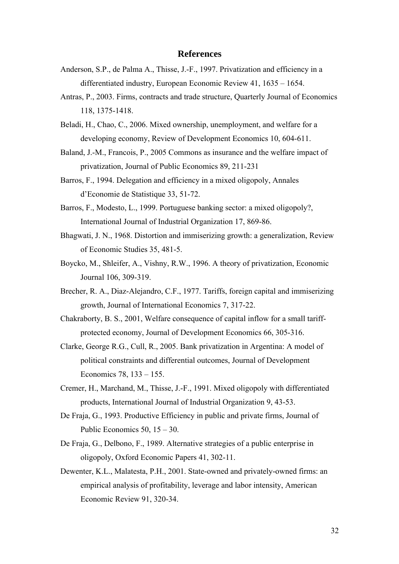#### **References**

- Anderson, S.P., de Palma A., Thisse, J.-F., 1997. Privatization and efficiency in a differentiated industry, European Economic Review 41, 1635 – 1654.
- Antras, P., 2003. Firms, contracts and trade structure, Quarterly Journal of Economics 118, 1375-1418.
- Beladi, H., Chao, C., 2006. Mixed ownership, unemployment, and welfare for a developing economy, Review of Development Economics 10, 604-611.
- Baland, J.-M., Francois, P., 2005 Commons as insurance and the welfare impact of privatization, Journal of Public Economics 89, 211-231
- Barros, F., 1994. Delegation and efficiency in a mixed oligopoly, Annales d'Economie de Statistique 33, 51-72.
- Barros, F., Modesto, L., 1999. Portuguese banking sector: a mixed oligopoly?, International Journal of Industrial Organization 17, 869-86.
- Bhagwati, J. N., 1968. Distortion and immiserizing growth: a generalization, Review of Economic Studies 35, 481-5.
- Boycko, M., Shleifer, A., Vishny, R.W., 1996. A theory of privatization, Economic Journal 106, 309-319.
- Brecher, R. A., Diaz-Alejandro, C.F., 1977. Tariffs, foreign capital and immiserizing growth, Journal of International Economics 7, 317-22.
- Chakraborty, B. S., 2001, Welfare consequence of capital inflow for a small tariffprotected economy, Journal of Development Economics 66, 305-316.
- Clarke, George R.G., Cull, R., 2005. Bank privatization in Argentina: A model of political constraints and differential outcomes, Journal of Development Economics 78, 133 – 155.
- Cremer, H., Marchand, M., Thisse, J.-F., 1991. Mixed oligopoly with differentiated products, International Journal of Industrial Organization 9, 43-53.
- De Fraja, G., 1993. Productive Efficiency in public and private firms, Journal of Public Economics 50, 15 – 30.
- De Fraja, G., Delbono, F., 1989. Alternative strategies of a public enterprise in oligopoly, Oxford Economic Papers 41, 302-11.
- Dewenter, K.L., Malatesta, P.H., 2001. State-owned and privately-owned firms: an empirical analysis of profitability, leverage and labor intensity, American Economic Review 91, 320-34.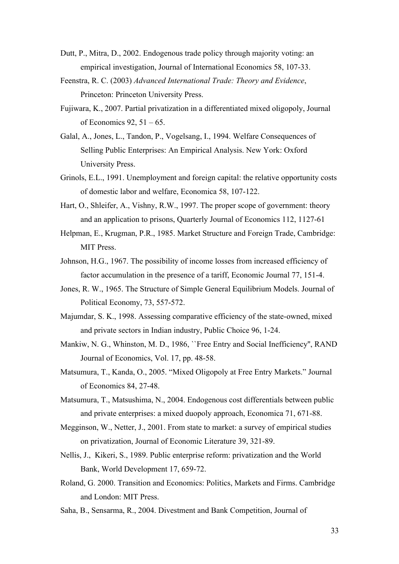- Dutt, P., Mitra, D., 2002. Endogenous trade policy through majority voting: an empirical investigation, Journal of International Economics 58, 107-33.
- Feenstra, R. C. (2003) *Advanced International Trade: Theory and Evidence*, Princeton: Princeton University Press.
- Fujiwara, K., 2007. Partial privatization in a differentiated mixed oligopoly, Journal of Economics 92,  $51 - 65$ .
- Galal, A., Jones, L., Tandon, P., Vogelsang, I., 1994. Welfare Consequences of Selling Public Enterprises: An Empirical Analysis. New York: Oxford University Press.
- Grinols, E.L., 1991. Unemployment and foreign capital: the relative opportunity costs of domestic labor and welfare, Economica 58, 107-122.
- Hart, O., Shleifer, A., Vishny, R.W., 1997. The proper scope of government: theory and an application to prisons, Quarterly Journal of Economics 112, 1127-61
- Helpman, E., Krugman, P.R., 1985. Market Structure and Foreign Trade, Cambridge: MIT Press.
- Johnson, H.G., 1967. The possibility of income losses from increased efficiency of factor accumulation in the presence of a tariff, Economic Journal 77, 151-4.
- Jones, R. W., 1965. The Structure of Simple General Equilibrium Models. Journal of Political Economy, 73, 557-572.
- Majumdar, S. K., 1998. Assessing comparative efficiency of the state-owned, mixed and private sectors in Indian industry, Public Choice 96, 1-24.
- Mankiw, N. G., Whinston, M. D., 1986, ``Free Entry and Social Inefficiency'', RAND Journal of Economics, Vol. 17, pp. 48-58.
- Matsumura, T., Kanda, O., 2005. "Mixed Oligopoly at Free Entry Markets." Journal of Economics 84, 27-48.
- Matsumura, T., Matsushima, N., 2004. Endogenous cost differentials between public and private enterprises: a mixed duopoly approach, Economica 71, 671-88.
- Megginson, W., Netter, J., 2001. From state to market: a survey of empirical studies on privatization, Journal of Economic Literature 39, 321-89.
- Nellis, J., Kikeri, S., 1989. Public enterprise reform: privatization and the World Bank, World Development 17, 659-72.
- Roland, G. 2000. Transition and Economics: Politics, Markets and Firms. Cambridge and London: MIT Press.
- Saha, B., Sensarma, R., 2004. Divestment and Bank Competition, Journal of